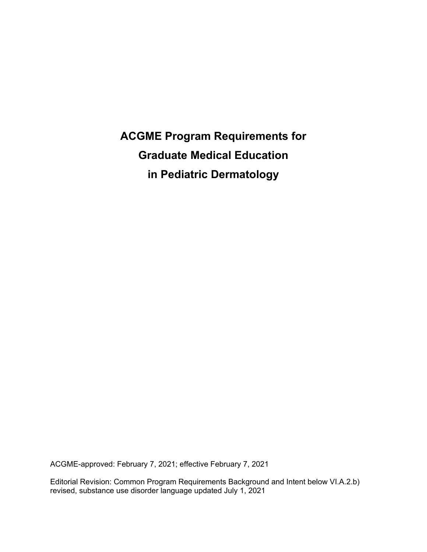**ACGME Program Requirements for Graduate Medical Education in Pediatric Dermatology**

ACGME-approved: February 7, 2021; effective February 7, 2021

Editorial Revision: Common Program Requirements Background and Intent below VI.A.2.b) revised, substance use disorder language updated July 1, 2021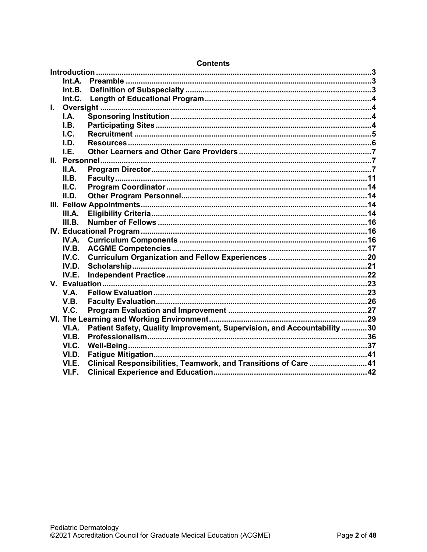|    | Int.A.      |                                                                         |  |
|----|-------------|-------------------------------------------------------------------------|--|
|    | Int.B.      |                                                                         |  |
|    | Int.C.      |                                                                         |  |
| L. |             |                                                                         |  |
|    | I.A.        |                                                                         |  |
|    | I.B.        |                                                                         |  |
|    | $L$         |                                                                         |  |
|    | LD.         |                                                                         |  |
|    | I.E.        |                                                                         |  |
|    |             |                                                                         |  |
|    | II.A.       |                                                                         |  |
|    | II.B.       |                                                                         |  |
|    | II.C.       |                                                                         |  |
|    | II.D.       |                                                                         |  |
|    |             |                                                                         |  |
|    | III.A.      |                                                                         |  |
|    | III.B.      |                                                                         |  |
|    |             |                                                                         |  |
|    | IV.A.       |                                                                         |  |
|    | IV.B.       |                                                                         |  |
|    | IV.C.       |                                                                         |  |
|    | IV.D.       |                                                                         |  |
|    | IV.E.       |                                                                         |  |
|    |             |                                                                         |  |
|    | <b>V.A.</b> |                                                                         |  |
|    | V.B.        |                                                                         |  |
|    | V.C.        |                                                                         |  |
|    |             |                                                                         |  |
|    | VI.A.       | Patient Safety, Quality Improvement, Supervision, and Accountability 30 |  |
|    | VI.B.       |                                                                         |  |
|    | VI.C.       |                                                                         |  |
|    | VI.D.       |                                                                         |  |
|    | VI.E.       | Clinical Responsibilities, Teamwork, and Transitions of Care41          |  |
|    | VI.F.       |                                                                         |  |

# **Contents**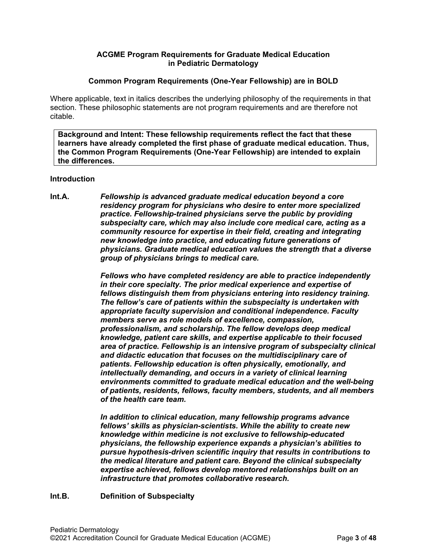# **ACGME Program Requirements for Graduate Medical Education in Pediatric Dermatology**

#### **Common Program Requirements (One-Year Fellowship) are in BOLD**

Where applicable, text in italics describes the underlying philosophy of the requirements in that section. These philosophic statements are not program requirements and are therefore not citable.

**Background and Intent: These fellowship requirements reflect the fact that these learners have already completed the first phase of graduate medical education. Thus, the Common Program Requirements (One-Year Fellowship) are intended to explain the differences.**

#### <span id="page-2-0"></span>**Introduction**

<span id="page-2-1"></span>**Int.A.** *Fellowship is advanced graduate medical education beyond a core residency program for physicians who desire to enter more specialized practice. Fellowship-trained physicians serve the public by providing subspecialty care, which may also include core medical care, acting as a community resource for expertise in their field, creating and integrating new knowledge into practice, and educating future generations of physicians. Graduate medical education values the strength that a diverse group of physicians brings to medical care.*

> *Fellows who have completed residency are able to practice independently in their core specialty. The prior medical experience and expertise of fellows distinguish them from physicians entering into residency training. The fellow's care of patients within the subspecialty is undertaken with appropriate faculty supervision and conditional independence. Faculty members serve as role models of excellence, compassion, professionalism, and scholarship. The fellow develops deep medical knowledge, patient care skills, and expertise applicable to their focused area of practice. Fellowship is an intensive program of subspecialty clinical and didactic education that focuses on the multidisciplinary care of patients. Fellowship education is often physically, emotionally, and intellectually demanding, and occurs in a variety of clinical learning environments committed to graduate medical education and the well-being of patients, residents, fellows, faculty members, students, and all members of the health care team.*

*In addition to clinical education, many fellowship programs advance fellows' skills as physician-scientists. While the ability to create new knowledge within medicine is not exclusive to fellowship-educated physicians, the fellowship experience expands a physician's abilities to pursue hypothesis-driven scientific inquiry that results in contributions to the medical literature and patient care. Beyond the clinical subspecialty expertise achieved, fellows develop mentored relationships built on an infrastructure that promotes collaborative research.*

#### <span id="page-2-2"></span>**Int.B. Definition of Subspecialty**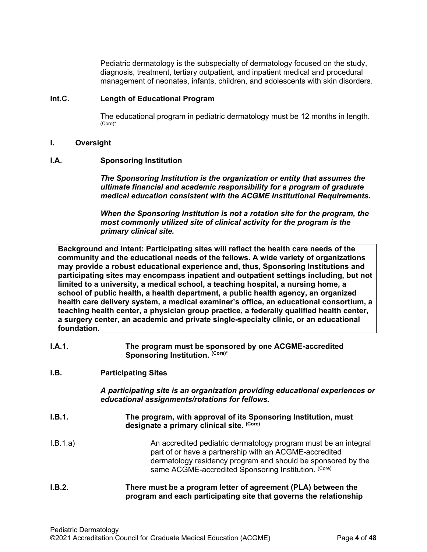Pediatric dermatology is the subspecialty of dermatology focused on the study, diagnosis, treatment, tertiary outpatient, and inpatient medical and procedural management of neonates, infants, children, and adolescents with skin disorders.

#### <span id="page-3-0"></span>**Int.C. Length of Educational Program**

The educational program in pediatric dermatology must be 12 months in length. (Core)\*

#### <span id="page-3-1"></span>**I. Oversight**

#### <span id="page-3-2"></span>**I.A. Sponsoring Institution**

*The Sponsoring Institution is the organization or entity that assumes the ultimate financial and academic responsibility for a program of graduate medical education consistent with the ACGME Institutional Requirements.*

*When the Sponsoring Institution is not a rotation site for the program, the most commonly utilized site of clinical activity for the program is the primary clinical site.*

**Background and Intent: Participating sites will reflect the health care needs of the community and the educational needs of the fellows. A wide variety of organizations may provide a robust educational experience and, thus, Sponsoring Institutions and participating sites may encompass inpatient and outpatient settings including, but not limited to a university, a medical school, a teaching hospital, a nursing home, a school of public health, a health department, a public health agency, an organized health care delivery system, a medical examiner's office, an educational consortium, a teaching health center, a physician group practice, a federally qualified health center, a surgery center, an academic and private single-specialty clinic, or an educational foundation.**

**I.A.1. The program must be sponsored by one ACGME-accredited**  Sponsoring Institution. (Core)\*

# <span id="page-3-3"></span>**I.B. Participating Sites**

*A participating site is an organization providing educational experiences or educational assignments/rotations for fellows.*

- **I.B.1. The program, with approval of its Sponsoring Institution, must designate a primary clinical site. (Core)** I.B.1.a) An accredited pediatric dermatology program must be an integral
	- part of or have a partnership with an ACGME-accredited dermatology residency program and should be sponsored by the same ACGME-accredited Sponsoring Institution. (Core)
- **I.B.2. There must be a program letter of agreement (PLA) between the program and each participating site that governs the relationship**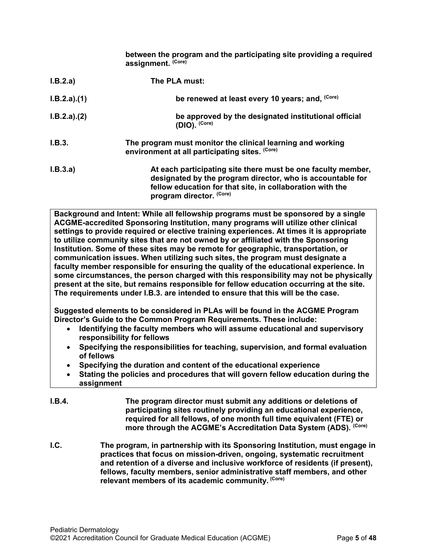**between the program and the participating site providing a required assignment. (Core)**

| I.B.2.a)    | The PLA must:                                                                                                                                                                                                       |
|-------------|---------------------------------------------------------------------------------------------------------------------------------------------------------------------------------------------------------------------|
| I.B.2.a)(1) | be renewed at least every 10 years; and, (Core)                                                                                                                                                                     |
| I.B.2.a)(2) | be approved by the designated institutional official<br>$(DIO)$ . $(Core)$                                                                                                                                          |
| I.B.3.      | The program must monitor the clinical learning and working<br>environment at all participating sites. (Core)                                                                                                        |
| I.B.3.a)    | At each participating site there must be one faculty member,<br>designated by the program director, who is accountable for<br>fellow education for that site, in collaboration with the<br>program director. (Core) |

**Background and Intent: While all fellowship programs must be sponsored by a single ACGME-accredited Sponsoring Institution, many programs will utilize other clinical settings to provide required or elective training experiences. At times it is appropriate to utilize community sites that are not owned by or affiliated with the Sponsoring Institution. Some of these sites may be remote for geographic, transportation, or communication issues. When utilizing such sites, the program must designate a faculty member responsible for ensuring the quality of the educational experience. In some circumstances, the person charged with this responsibility may not be physically present at the site, but remains responsible for fellow education occurring at the site. The requirements under I.B.3. are intended to ensure that this will be the case.**

**Suggested elements to be considered in PLAs will be found in the ACGME Program Director's Guide to the Common Program Requirements. These include:**

- **Identifying the faculty members who will assume educational and supervisory responsibility for fellows**
- **Specifying the responsibilities for teaching, supervision, and formal evaluation of fellows**
- **Specifying the duration and content of the educational experience**
- **Stating the policies and procedures that will govern fellow education during the assignment**
- **I.B.4. The program director must submit any additions or deletions of participating sites routinely providing an educational experience, required for all fellows, of one month full time equivalent (FTE) or more through the ACGME's Accreditation Data System (ADS). (Core)**
- <span id="page-4-0"></span>**I.C. The program, in partnership with its Sponsoring Institution, must engage in practices that focus on mission-driven, ongoing, systematic recruitment and retention of a diverse and inclusive workforce of residents (if present), fellows, faculty members, senior administrative staff members, and other relevant members of its academic community. (Core)**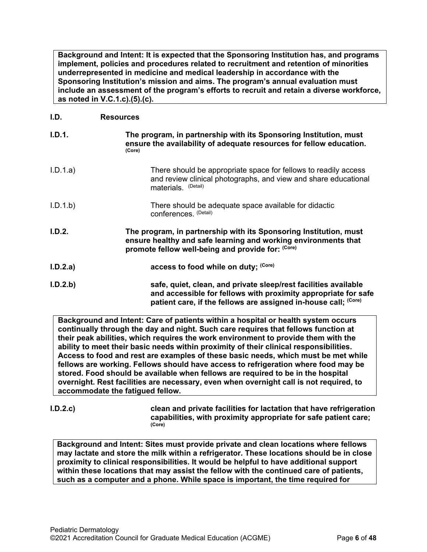**Background and Intent: It is expected that the Sponsoring Institution has, and programs implement, policies and procedures related to recruitment and retention of minorities underrepresented in medicine and medical leadership in accordance with the Sponsoring Institution's mission and aims. The program's annual evaluation must include an assessment of the program's efforts to recruit and retain a diverse workforce, as noted in V.C.1.c).(5).(c).**

# <span id="page-5-0"></span>**I.D. Resources**

| I.D.1.   | The program, in partnership with its Sponsoring Institution, must<br>ensure the availability of adequate resources for fellow education.<br>(Core)                                       |
|----------|------------------------------------------------------------------------------------------------------------------------------------------------------------------------------------------|
| I.D.1.a) | There should be appropriate space for fellows to readily access<br>and review clinical photographs, and view and share educational<br>materials. (Detail)                                |
| I.D.1.b  | There should be adequate space available for didactic<br>conferences. (Detail)                                                                                                           |
| I.D.2.   | The program, in partnership with its Sponsoring Institution, must<br>ensure healthy and safe learning and working environments that<br>promote fellow well-being and provide for: (Core) |
| I.D.2.a) | access to food while on duty; (Core)                                                                                                                                                     |
| I.D.2.b  | safe, quiet, clean, and private sleep/rest facilities available<br>and accessible for fellows with proximity appropriate for safe                                                        |

**Background and Intent: Care of patients within a hospital or health system occurs continually through the day and night. Such care requires that fellows function at their peak abilities, which requires the work environment to provide them with the ability to meet their basic needs within proximity of their clinical responsibilities. Access to food and rest are examples of these basic needs, which must be met while fellows are working. Fellows should have access to refrigeration where food may be stored. Food should be available when fellows are required to be in the hospital overnight. Rest facilities are necessary, even when overnight call is not required, to accommodate the fatigued fellow.**

**I.D.2.c) clean and private facilities for lactation that have refrigeration capabilities, with proximity appropriate for safe patient care; (Core)**

**Background and Intent: Sites must provide private and clean locations where fellows may lactate and store the milk within a refrigerator. These locations should be in close proximity to clinical responsibilities. It would be helpful to have additional support within these locations that may assist the fellow with the continued care of patients, such as a computer and a phone. While space is important, the time required for**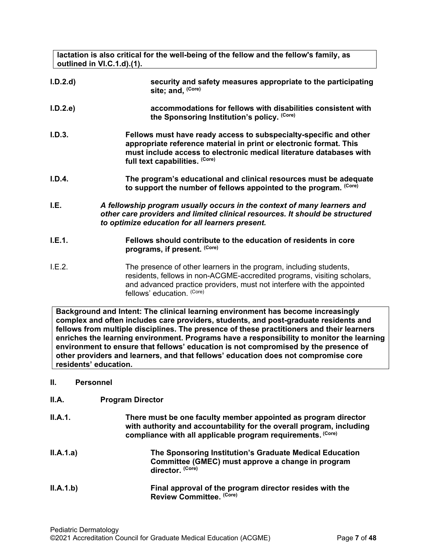**lactation is also critical for the well-being of the fellow and the fellow's family, as outlined in VI.C.1.d).(1).**

| I.D.2.d | security and safety measures appropriate to the participating<br>site; and, (Core)                                                                                                                                                               |
|---------|--------------------------------------------------------------------------------------------------------------------------------------------------------------------------------------------------------------------------------------------------|
| I.D.2.e | accommodations for fellows with disabilities consistent with<br>the Sponsoring Institution's policy. (Core)                                                                                                                                      |
| I.D.3.  | Fellows must have ready access to subspecialty-specific and other<br>appropriate reference material in print or electronic format. This<br>must include access to electronic medical literature databases with<br>full text capabilities. (Core) |
| I.D.4.  | The program's educational and clinical resources must be adequate<br>to support the number of fellows appointed to the program. (Core)                                                                                                           |
| I.E.    | A fellowship program usually occurs in the context of many learners and<br>other care providers and limited clinical resources. It should be structured<br>to optimize education for all learners present.                                       |
| I.E.1.  | Fellows should contribute to the education of residents in core                                                                                                                                                                                  |

- <span id="page-6-0"></span>**programs, if present. (Core)**
- I.E.2. The presence of other learners in the program, including students, residents, fellows in non-ACGME-accredited programs, visiting scholars, and advanced practice providers, must not interfere with the appointed fellows' education. (Core)

**Background and Intent: The clinical learning environment has become increasingly complex and often includes care providers, students, and post-graduate residents and fellows from multiple disciplines. The presence of these practitioners and their learners enriches the learning environment. Programs have a responsibility to monitor the learning environment to ensure that fellows' education is not compromised by the presence of other providers and learners, and that fellows' education does not compromise core residents' education.**

# <span id="page-6-1"></span>**II. Personnel**

# <span id="page-6-2"></span>**II.A. Program Director**

| <b>II.A.1.</b> | There must be one faculty member appointed as program director<br>with authority and accountability for the overall program, including<br>compliance with all applicable program requirements. (Core) |
|----------------|-------------------------------------------------------------------------------------------------------------------------------------------------------------------------------------------------------|
| II.A.1.a)      | The Sponsoring Institution's Graduate Medical Education<br>Committee (GMEC) must approve a change in program<br>director. (Core)                                                                      |
| II.A.1.b)      | Final approval of the program director resides with the<br>Review Committee. (Core)                                                                                                                   |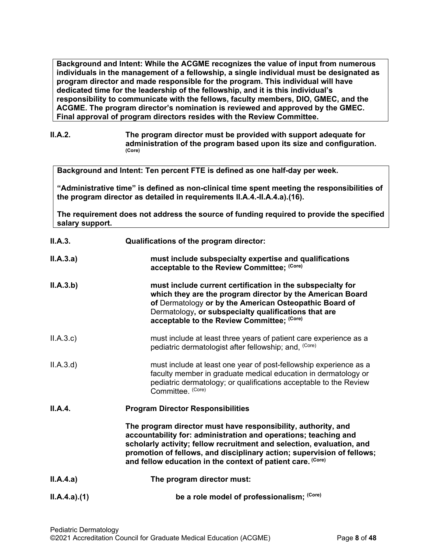**Background and Intent: While the ACGME recognizes the value of input from numerous individuals in the management of a fellowship, a single individual must be designated as program director and made responsible for the program. This individual will have dedicated time for the leadership of the fellowship, and it is this individual's responsibility to communicate with the fellows, faculty members, DIO, GMEC, and the ACGME. The program director's nomination is reviewed and approved by the GMEC. Final approval of program directors resides with the Review Committee.**

**II.A.2. The program director must be provided with support adequate for administration of the program based upon its size and configuration. (Core)**

**Background and Intent: Ten percent FTE is defined as one half-day per week.** 

**"Administrative time" is defined as non-clinical time spent meeting the responsibilities of the program director as detailed in requirements II.A.4.-II.A.4.a).(16).** 

**The requirement does not address the source of funding required to provide the specified salary support.**

| II.A.3.     | Qualifications of the program director:                                                                                                                                                                                                                                                                                                            |
|-------------|----------------------------------------------------------------------------------------------------------------------------------------------------------------------------------------------------------------------------------------------------------------------------------------------------------------------------------------------------|
| II.A.3.a)   | must include subspecialty expertise and qualifications<br>acceptable to the Review Committee; (Core)                                                                                                                                                                                                                                               |
| II.A.3.b)   | must include current certification in the subspecialty for<br>which they are the program director by the American Board<br>of Dermatology or by the American Osteopathic Board of<br>Dermatology, or subspecialty qualifications that are<br>acceptable to the Review Committee; (Core)                                                            |
| II.A.3.c    | must include at least three years of patient care experience as a<br>pediatric dermatologist after fellowship; and, (Core)                                                                                                                                                                                                                         |
| II.A.3.d    | must include at least one year of post-fellowship experience as a<br>faculty member in graduate medical education in dermatology or<br>pediatric dermatology; or qualifications acceptable to the Review<br>Committee. (Core)                                                                                                                      |
| II.A.4.     | <b>Program Director Responsibilities</b>                                                                                                                                                                                                                                                                                                           |
|             | The program director must have responsibility, authority, and<br>accountability for: administration and operations; teaching and<br>scholarly activity; fellow recruitment and selection, evaluation, and<br>promotion of fellows, and disciplinary action; supervision of fellows;<br>and fellow education in the context of patient care. (Core) |
| II.A.4.a)   | The program director must:                                                                                                                                                                                                                                                                                                                         |
| ILA.4.a)(1) | be a role model of professionalism; (Core)                                                                                                                                                                                                                                                                                                         |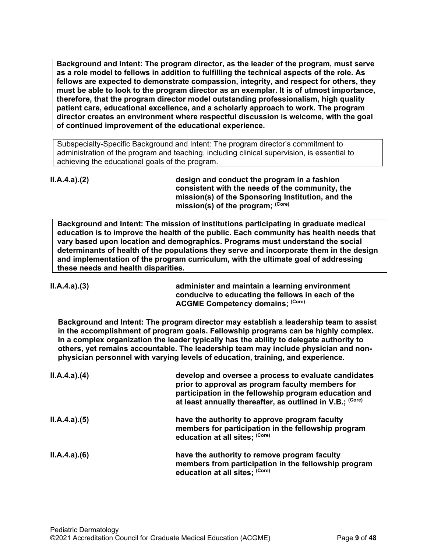**Background and Intent: The program director, as the leader of the program, must serve as a role model to fellows in addition to fulfilling the technical aspects of the role. As fellows are expected to demonstrate compassion, integrity, and respect for others, they must be able to look to the program director as an exemplar. It is of utmost importance, therefore, that the program director model outstanding professionalism, high quality patient care, educational excellence, and a scholarly approach to work. The program director creates an environment where respectful discussion is welcome, with the goal of continued improvement of the educational experience.**

Subspecialty-Specific Background and Intent: The program director's commitment to administration of the program and teaching, including clinical supervision, is essential to achieving the educational goals of the program.

**II.A.4.a).(2) design and conduct the program in a fashion** 

|                                     | consistent with the needs of the community, the<br>mission(s) of the Sponsoring Institution, and the<br>mission(s) of the program; (Core)                                                                                                                                                                                                                                                                                                         |
|-------------------------------------|---------------------------------------------------------------------------------------------------------------------------------------------------------------------------------------------------------------------------------------------------------------------------------------------------------------------------------------------------------------------------------------------------------------------------------------------------|
| these needs and health disparities. | Background and Intent: The mission of institutions participating in graduate medical<br>education is to improve the health of the public. Each community has health needs that<br>vary based upon location and demographics. Programs must understand the social<br>determinants of health of the populations they serve and incorporate them in the design<br>and implementation of the program curriculum, with the ultimate goal of addressing |
| ILA.4.a)(3)                         | administer and maintain a learning environment<br>conducive to educating the fellows in each of the<br><b>ACGME Competency domains; (Core)</b>                                                                                                                                                                                                                                                                                                    |
|                                     | Background and Intent: The program director may establish a leadership team to assist<br>in the accomplishment of program goals. Fellowship programs can be highly complex.<br>In a complex organization the leader typically has the ability to delegate authority to<br>others, yet remains accountable. The leadership team may include physician and non-<br>physician personnel with varying levels of education, training, and experience.  |
| ILA.4.a)(4)                         | develop and oversee a process to evaluate candidates<br>prior to approval as program faculty members for<br>participation in the fellowship program education and<br>at least annually thereafter, as outlined in V.B.; (Core)                                                                                                                                                                                                                    |
| ILA.4.a)(5)                         | have the authority to approve program faculty<br>members for participation in the fellowship program<br>education at all sites; (Core)                                                                                                                                                                                                                                                                                                            |
|                                     |                                                                                                                                                                                                                                                                                                                                                                                                                                                   |

| ILA.4.a)(6) | have the authority to remove program faculty                                           |
|-------------|----------------------------------------------------------------------------------------|
|             | members from participation in the fellowship program<br>education at all sites; (Core) |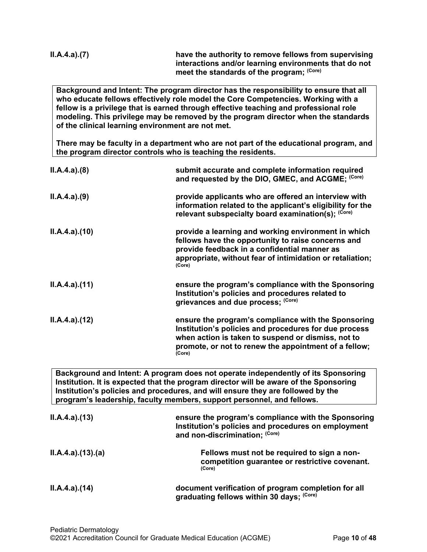| II.A.4.a).(7) | have the authority to remove fellows from supervising<br>interactions and/or learning environments that do not |
|---------------|----------------------------------------------------------------------------------------------------------------|
|               | meet the standards of the program; (Core)                                                                      |

**Background and Intent: The program director has the responsibility to ensure that all who educate fellows effectively role model the Core Competencies. Working with a fellow is a privilege that is earned through effective teaching and professional role modeling. This privilege may be removed by the program director when the standards of the clinical learning environment are not met.**

**There may be faculty in a department who are not part of the educational program, and the program director controls who is teaching the residents.**

| ILA.4.a)(8)  | submit accurate and complete information required<br>and requested by the DIO, GMEC, and ACGME; (Core)                                                                                                                                |
|--------------|---------------------------------------------------------------------------------------------------------------------------------------------------------------------------------------------------------------------------------------|
| ILA.4.a)(9)  | provide applicants who are offered an interview with<br>information related to the applicant's eligibility for the<br>relevant subspecialty board examination(s); (Core)                                                              |
| ILA.4.a)(10) | provide a learning and working environment in which<br>fellows have the opportunity to raise concerns and<br>provide feedback in a confidential manner as<br>appropriate, without fear of intimidation or retaliation;<br>(Core)      |
| ILA.4.a)(11) | ensure the program's compliance with the Sponsoring<br>Institution's policies and procedures related to<br>grievances and due process; (Core)                                                                                         |
| ILA.4.a)(12) | ensure the program's compliance with the Sponsoring<br>Institution's policies and procedures for due process<br>when action is taken to suspend or dismiss, not to<br>promote, or not to renew the appointment of a fellow;<br>(Core) |
|              | Peakaraund and Intent: A program does not energie independently of its Cooperation                                                                                                                                                    |

**Background and Intent: A program does not operate independently of its Sponsoring Institution. It is expected that the program director will be aware of the Sponsoring Institution's policies and procedures, and will ensure they are followed by the program's leadership, faculty members, support personnel, and fellows.**

| ILA.4.a)(13)     | ensure the program's compliance with the Sponsoring<br>Institution's policies and procedures on employment<br>and non-discrimination; (Core) |
|------------------|----------------------------------------------------------------------------------------------------------------------------------------------|
| II.A.4.a)(13)(a) | Fellows must not be required to sign a non-<br>competition guarantee or restrictive covenant.<br>(Core)                                      |
| ILA.4.a)(14)     | document verification of program completion for all<br>graduating fellows within 30 days; (Core)                                             |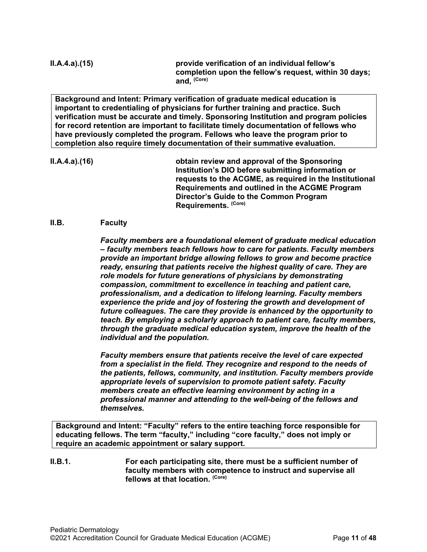**II.A.4.a).(15) provide verification of an individual fellow's completion upon the fellow's request, within 30 days; and, (Core)**

**Background and Intent: Primary verification of graduate medical education is important to credentialing of physicians for further training and practice. Such verification must be accurate and timely. Sponsoring Institution and program policies for record retention are important to facilitate timely documentation of fellows who have previously completed the program. Fellows who leave the program prior to completion also require timely documentation of their summative evaluation.**

**II.A.4.a).(16) obtain review and approval of the Sponsoring Institution's DIO before submitting information or requests to the ACGME, as required in the Institutional Requirements and outlined in the ACGME Program Director's Guide to the Common Program Requirements. (Core)**

# <span id="page-10-0"></span>**II.B. Faculty**

*Faculty members are a foundational element of graduate medical education – faculty members teach fellows how to care for patients. Faculty members provide an important bridge allowing fellows to grow and become practice ready, ensuring that patients receive the highest quality of care. They are role models for future generations of physicians by demonstrating compassion, commitment to excellence in teaching and patient care, professionalism, and a dedication to lifelong learning. Faculty members experience the pride and joy of fostering the growth and development of future colleagues. The care they provide is enhanced by the opportunity to teach. By employing a scholarly approach to patient care, faculty members, through the graduate medical education system, improve the health of the individual and the population.*

*Faculty members ensure that patients receive the level of care expected from a specialist in the field. They recognize and respond to the needs of the patients, fellows, community, and institution. Faculty members provide appropriate levels of supervision to promote patient safety. Faculty members create an effective learning environment by acting in a professional manner and attending to the well-being of the fellows and themselves.*

**Background and Intent: "Faculty" refers to the entire teaching force responsible for educating fellows. The term "faculty," including "core faculty," does not imply or require an academic appointment or salary support.**

**II.B.1. For each participating site, there must be a sufficient number of faculty members with competence to instruct and supervise all fellows at that location. (Core)**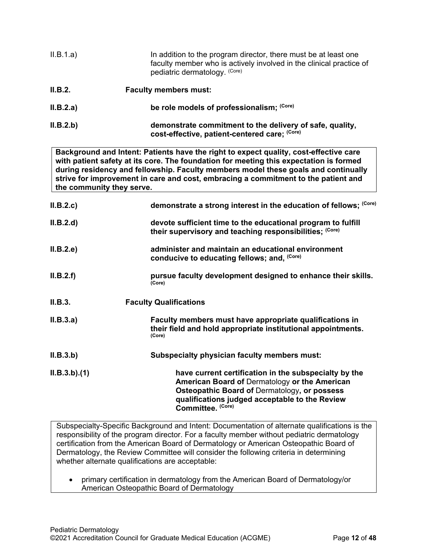| II.B.1.a) | In addition to the program director, there must be at least one<br>faculty member who is actively involved in the clinical practice of<br>pediatric dermatology. (Core) |
|-----------|-------------------------------------------------------------------------------------------------------------------------------------------------------------------------|
| II.B.2.   | <b>Faculty members must:</b>                                                                                                                                            |
| II.B.2.a) | be role models of professionalism; (Core)                                                                                                                               |
| II.B.2.b) | demonstrate commitment to the delivery of safe, quality,<br>cost-effective, patient-centered care; (Core)                                                               |

**Background and Intent: Patients have the right to expect quality, cost-effective care with patient safety at its core. The foundation for meeting this expectation is formed during residency and fellowship. Faculty members model these goals and continually strive for improvement in care and cost, embracing a commitment to the patient and the community they serve.**

| II.B.2.c    | demonstrate a strong interest in the education of fellows; (Core)                                                                                                                                                             |
|-------------|-------------------------------------------------------------------------------------------------------------------------------------------------------------------------------------------------------------------------------|
| II.B.2.d    | devote sufficient time to the educational program to fulfill<br>their supervisory and teaching responsibilities; (Core)                                                                                                       |
| II.B.2.e    | administer and maintain an educational environment<br>conducive to educating fellows; and, (Core)                                                                                                                             |
| II.B.2.f    | pursue faculty development designed to enhance their skills.<br>(Core)                                                                                                                                                        |
| II.B.3.     | <b>Faculty Qualifications</b>                                                                                                                                                                                                 |
| II.B.3.a)   | Faculty members must have appropriate qualifications in<br>their field and hold appropriate institutional appointments.<br>(Core)                                                                                             |
| II.B.3.b)   | Subspecialty physician faculty members must:                                                                                                                                                                                  |
| ILB.3.b)(1) | have current certification in the subspecialty by the<br>American Board of Dermatology or the American<br>Osteopathic Board of Dermatology, or possess<br>qualifications judged acceptable to the Review<br>Committee. (Core) |

Subspecialty-Specific Background and Intent: Documentation of alternate qualifications is the responsibility of the program director. For a faculty member without pediatric dermatology certification from the American Board of Dermatology or American Osteopathic Board of Dermatology, the Review Committee will consider the following criteria in determining whether alternate qualifications are acceptable:

• primary certification in dermatology from the American Board of Dermatology/or American Osteopathic Board of Dermatology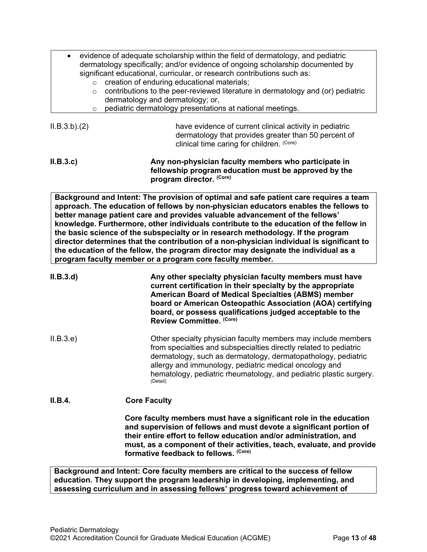| $\circ$<br>$\circ$<br>$\circ$ | evidence of adequate scholarship within the field of dermatology, and pediatric<br>dermatology specifically; and/or evidence of ongoing scholarship documented by<br>significant educational, curricular, or research contributions such as:<br>creation of enduring educational materials;<br>contributions to the peer-reviewed literature in dermatology and (or) pediatric<br>dermatology and dermatology; or,<br>pediatric dermatology presentations at national meetings.                                                                                                                                                                                                             |
|-------------------------------|---------------------------------------------------------------------------------------------------------------------------------------------------------------------------------------------------------------------------------------------------------------------------------------------------------------------------------------------------------------------------------------------------------------------------------------------------------------------------------------------------------------------------------------------------------------------------------------------------------------------------------------------------------------------------------------------|
| ILB.3.b)(2)                   | have evidence of current clinical activity in pediatric<br>dermatology that provides greater than 50 percent of<br>clinical time caring for children. (Core)                                                                                                                                                                                                                                                                                                                                                                                                                                                                                                                                |
| ILB.3.c)                      | Any non-physician faculty members who participate in<br>fellowship program education must be approved by the<br>program director. (Core)                                                                                                                                                                                                                                                                                                                                                                                                                                                                                                                                                    |
|                               | Background and Intent: The provision of optimal and safe patient care requires a team<br>approach. The education of fellows by non-physician educators enables the fellows to<br>better manage patient care and provides valuable advancement of the fellows'<br>knowledge. Furthermore, other individuals contribute to the education of the fellow in<br>the basic science of the subspecialty or in research methodology. If the program<br>director determines that the contribution of a non-physician individual is significant to<br>the education of the fellow, the program director may designate the individual as a<br>program faculty member or a program core faculty member. |
| II.B.3.d)                     | Any other specialty physician faculty members must have<br>current certification in their specialty by the appropriate<br><b>American Board of Medical Specialties (ABMS) member</b><br>board or American Osteopathic Association (AOA) certifying<br>board, or possess qualifications judged acceptable to the<br>Review Committee. (Core)                                                                                                                                                                                                                                                                                                                                                 |
| ILB.3.e)                      | Other specialty physician faculty members may include members<br>from specialties and subspecialties directly related to pediatric<br>dermatology, such as dermatology, dermatopathology, pediatric<br>allergy and immunology, pediatric medical oncology and<br>hematology, pediatric rheumatology, and pediatric plastic surgery.<br>(Detail)                                                                                                                                                                                                                                                                                                                                             |
| II.B.4.                       | <b>Core Faculty</b>                                                                                                                                                                                                                                                                                                                                                                                                                                                                                                                                                                                                                                                                         |
|                               | Core faculty members must have a significant role in the education<br>and supervision of fellows and must devote a significant portion of<br>their entire effort to fellow education and/or administration, and<br>must, as a component of their activities, teach, evaluate, and provide<br>formative feedback to fellows. (Core)                                                                                                                                                                                                                                                                                                                                                          |

Г

**Background and Intent: Core faculty members are critical to the success of fellow education. They support the program leadership in developing, implementing, and assessing curriculum and in assessing fellows' progress toward achievement of**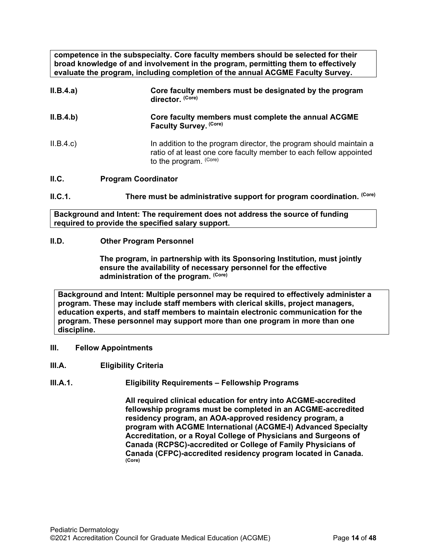**competence in the subspecialty. Core faculty members should be selected for their broad knowledge of and involvement in the program, permitting them to effectively evaluate the program, including completion of the annual ACGME Faculty Survey.**

| II.B.4.a) | Core faculty members must be designated by the program<br>director. (Core)                                                                                         |
|-----------|--------------------------------------------------------------------------------------------------------------------------------------------------------------------|
| II.B.4.b) | Core faculty members must complete the annual ACGME<br>Faculty Survey. (Core)                                                                                      |
| II.B.4.c  | In addition to the program director, the program should maintain a<br>ratio of at least one core faculty member to each fellow appointed<br>to the program. (Core) |
| II.C.     | <b>Program Coordinator</b>                                                                                                                                         |

<span id="page-13-0"></span>**II.C.1. There must be administrative support for program coordination.** (Core)

**Background and Intent: The requirement does not address the source of funding required to provide the specified salary support.**

#### <span id="page-13-1"></span>**II.D. Other Program Personnel**

**The program, in partnership with its Sponsoring Institution***,* **must jointly ensure the availability of necessary personnel for the effective administration of the program. (Core)**

**Background and Intent: Multiple personnel may be required to effectively administer a program. These may include staff members with clerical skills, project managers, education experts, and staff members to maintain electronic communication for the program. These personnel may support more than one program in more than one discipline.**

- <span id="page-13-2"></span>**III. Fellow Appointments**
- <span id="page-13-3"></span>**III.A. Eligibility Criteria**
- **III.A.1. Eligibility Requirements – Fellowship Programs**

**All required clinical education for entry into ACGME-accredited fellowship programs must be completed in an ACGME-accredited residency program, an AOA-approved residency program, a program with ACGME International (ACGME-I) Advanced Specialty Accreditation, or a Royal College of Physicians and Surgeons of Canada (RCPSC)-accredited or College of Family Physicians of Canada (CFPC)-accredited residency program located in Canada. (Core)**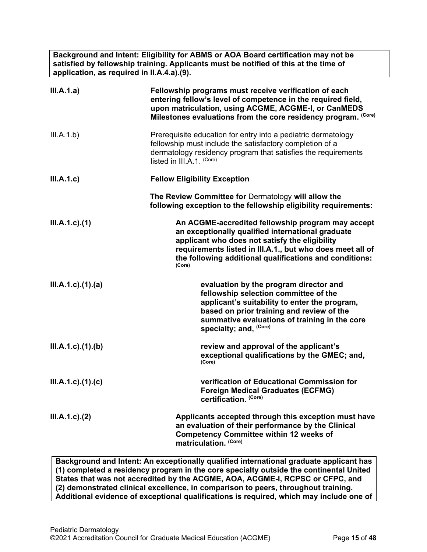**Background and Intent: Eligibility for ABMS or AOA Board certification may not be satisfied by fellowship training. Applicants must be notified of this at the time of application, as required in II.A.4.a).(9).**

| III.A.1.a)                 | Fellowship programs must receive verification of each<br>entering fellow's level of competence in the required field,<br>upon matriculation, using ACGME, ACGME-I, or CanMEDS<br>Milestones evaluations from the core residency program. (Core)                                            |
|----------------------------|--------------------------------------------------------------------------------------------------------------------------------------------------------------------------------------------------------------------------------------------------------------------------------------------|
| III.A.1.b)                 | Prerequisite education for entry into a pediatric dermatology<br>fellowship must include the satisfactory completion of a<br>dermatology residency program that satisfies the requirements<br>listed in III.A.1. (Core)                                                                    |
| III.A.1.c)                 | <b>Fellow Eligibility Exception</b>                                                                                                                                                                                                                                                        |
|                            | The Review Committee for Dermatology will allow the<br>following exception to the fellowship eligibility requirements:                                                                                                                                                                     |
| $III.A.1.c$ . $(1)$        | An ACGME-accredited fellowship program may accept<br>an exceptionally qualified international graduate<br>applicant who does not satisfy the eligibility<br>requirements listed in III.A.1., but who does meet all of<br>the following additional qualifications and conditions:<br>(Core) |
| $III.A.1.c$ . $(1).$ $(a)$ | evaluation by the program director and<br>fellowship selection committee of the<br>applicant's suitability to enter the program,<br>based on prior training and review of the<br>summative evaluations of training in the core<br>specialty; and, (Core)                                   |
| $III.A.1.c$ . $(1).$ (b)   | review and approval of the applicant's<br>exceptional qualifications by the GMEC; and,<br>(Core)                                                                                                                                                                                           |
| $III.A.1.c$ ). $(1).$ (c)  | verification of Educational Commission for<br><b>Foreign Medical Graduates (ECFMG)</b><br>certification. (Core)                                                                                                                                                                            |
| $III.A.1.c$ ). $(2)$       | Applicants accepted through this exception must have<br>an evaluation of their performance by the Clinical<br><b>Competency Committee within 12 weeks of</b><br>matriculation. (Core)                                                                                                      |

**Background and Intent: An exceptionally qualified international graduate applicant has (1) completed a residency program in the core specialty outside the continental United States that was not accredited by the ACGME, AOA, ACGME-I, RCPSC or CFPC, and (2) demonstrated clinical excellence, in comparison to peers, throughout training. Additional evidence of exceptional qualifications is required, which may include one of**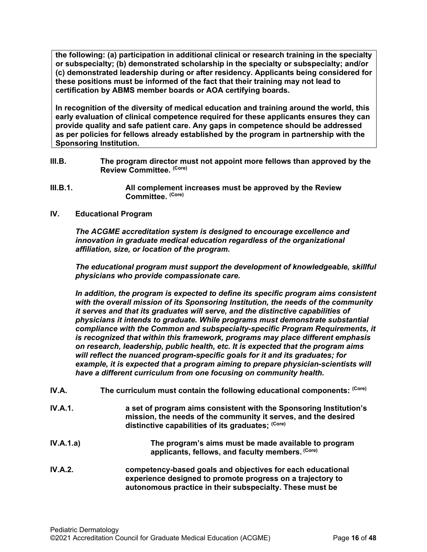**the following: (a) participation in additional clinical or research training in the specialty or subspecialty; (b) demonstrated scholarship in the specialty or subspecialty; and/or (c) demonstrated leadership during or after residency. Applicants being considered for these positions must be informed of the fact that their training may not lead to certification by ABMS member boards or AOA certifying boards.**

**In recognition of the diversity of medical education and training around the world, this early evaluation of clinical competence required for these applicants ensures they can provide quality and safe patient care. Any gaps in competence should be addressed as per policies for fellows already established by the program in partnership with the Sponsoring Institution.**

- <span id="page-15-0"></span>**III.B. The program director must not appoint more fellows than approved by the Review Committee. (Core)**
- **III.B.1. All complement increases must be approved by the Review Committee. (Core)**
- <span id="page-15-1"></span>**IV. Educational Program**

*The ACGME accreditation system is designed to encourage excellence and innovation in graduate medical education regardless of the organizational affiliation, size, or location of the program.*

*The educational program must support the development of knowledgeable, skillful physicians who provide compassionate care.*

*In addition, the program is expected to define its specific program aims consistent with the overall mission of its Sponsoring Institution, the needs of the community it serves and that its graduates will serve, and the distinctive capabilities of physicians it intends to graduate. While programs must demonstrate substantial compliance with the Common and subspecialty-specific Program Requirements, it is recognized that within this framework, programs may place different emphasis on research, leadership, public health, etc. It is expected that the program aims will reflect the nuanced program-specific goals for it and its graduates; for*  example, it is expected that a program aiming to prepare physician-scientists will *have a different curriculum from one focusing on community health.*

- <span id="page-15-2"></span>**IV.A.** The curriculum must contain the following educational components: (Core)
- **IV.A.1. a set of program aims consistent with the Sponsoring Institution's mission, the needs of the community it serves, and the desired distinctive capabilities of its graduates; (Core)**
- **IV.A.1.a) The program's aims must be made available to program applicants, fellows, and faculty members. (Core)**
- **IV.A.2. competency-based goals and objectives for each educational experience designed to promote progress on a trajectory to autonomous practice in their subspecialty. These must be**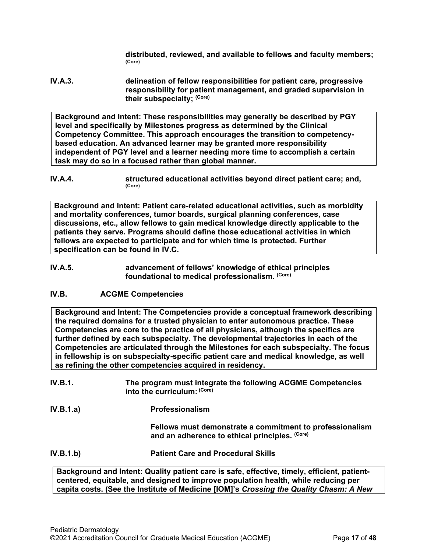**distributed, reviewed, and available to fellows and faculty members; (Core)**

**IV.A.3. delineation of fellow responsibilities for patient care, progressive responsibility for patient management, and graded supervision in their subspecialty; (Core)**

**Background and Intent: These responsibilities may generally be described by PGY level and specifically by Milestones progress as determined by the Clinical Competency Committee. This approach encourages the transition to competencybased education. An advanced learner may be granted more responsibility independent of PGY level and a learner needing more time to accomplish a certain task may do so in a focused rather than global manner.**

**IV.A.4. structured educational activities beyond direct patient care; and,**  $\frac{\text{(Core)}}{\text{(Core)}}$ 

**Background and Intent: Patient care-related educational activities, such as morbidity and mortality conferences, tumor boards, surgical planning conferences, case discussions, etc., allow fellows to gain medical knowledge directly applicable to the patients they serve. Programs should define those educational activities in which fellows are expected to participate and for which time is protected. Further specification can be found in IV.C.**

**IV.A.5. advancement of fellows' knowledge of ethical principles foundational to medical professionalism. (Core)**

# <span id="page-16-0"></span>**IV.B. ACGME Competencies**

**Background and Intent: The Competencies provide a conceptual framework describing the required domains for a trusted physician to enter autonomous practice. These Competencies are core to the practice of all physicians, although the specifics are further defined by each subspecialty. The developmental trajectories in each of the Competencies are articulated through the Milestones for each subspecialty. The focus in fellowship is on subspecialty-specific patient care and medical knowledge, as well as refining the other competencies acquired in residency.**

- **IV.B.1. The program must integrate the following ACGME Competencies into the curriculum: (Core)**
- **IV.B.1.a) Professionalism**

**Fellows must demonstrate a commitment to professionalism and an adherence to ethical principles. (Core)**

**IV.B.1.b) Patient Care and Procedural Skills**

**Background and Intent: Quality patient care is safe, effective, timely, efficient, patientcentered, equitable, and designed to improve population health, while reducing per capita costs. (See the Institute of Medicine [IOM]'s** *Crossing the Quality Chasm: A New*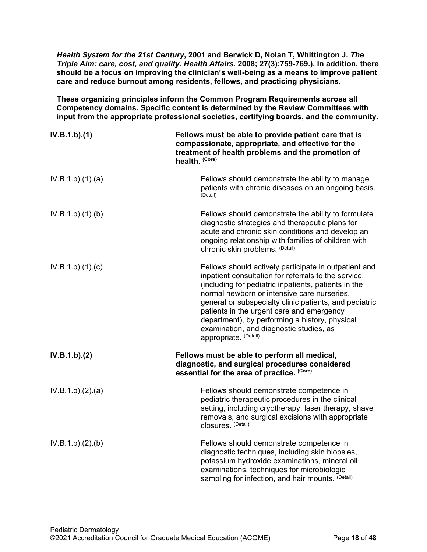*Health System for the 21st Century***, 2001 and Berwick D, Nolan T, Whittington J.** *The Triple Aim: care, cost, and quality. Health Affairs.* **2008; 27(3):759-769.). In addition, there should be a focus on improving the clinician's well-being as a means to improve patient care and reduce burnout among residents, fellows, and practicing physicians.**

**These organizing principles inform the Common Program Requirements across all Competency domains. Specific content is determined by the Review Committees with input from the appropriate professional societies, certifying boards, and the community.**

| IV.B.1.b)(1)     | Fellows must be able to provide patient care that is<br>compassionate, appropriate, and effective for the<br>treatment of health problems and the promotion of<br>health. (Core)                                                                                                                                                                                                                                                                  |
|------------------|---------------------------------------------------------------------------------------------------------------------------------------------------------------------------------------------------------------------------------------------------------------------------------------------------------------------------------------------------------------------------------------------------------------------------------------------------|
| IV.B.1.b)(1)(a)  | Fellows should demonstrate the ability to manage<br>patients with chronic diseases on an ongoing basis.<br>(Detail)                                                                                                                                                                                                                                                                                                                               |
| IV.B.1.b)(1)(b)  | Fellows should demonstrate the ability to formulate<br>diagnostic strategies and therapeutic plans for<br>acute and chronic skin conditions and develop an<br>ongoing relationship with families of children with<br>chronic skin problems. (Detail)                                                                                                                                                                                              |
| IV.B.1.b)(1)(c)  | Fellows should actively participate in outpatient and<br>inpatient consultation for referrals to the service,<br>(including for pediatric inpatients, patients in the<br>normal newborn or intensive care nurseries,<br>general or subspecialty clinic patients, and pediatric<br>patients in the urgent care and emergency<br>department), by performing a history, physical<br>examination, and diagnostic studies, as<br>appropriate. (Detail) |
| IV.B.1.b)(2)     | Fellows must be able to perform all medical,<br>diagnostic, and surgical procedures considered<br>essential for the area of practice. (Core)                                                                                                                                                                                                                                                                                                      |
| IV.B.1.b)(2).(a) | Fellows should demonstrate competence in<br>pediatric therapeutic procedures in the clinical<br>setting, including cryotherapy, laser therapy, shave<br>removals, and surgical excisions with appropriate<br>closures. (Detail)                                                                                                                                                                                                                   |
| IV.B.1.b)(2)(b)  | Fellows should demonstrate competence in<br>diagnostic techniques, including skin biopsies,<br>potassium hydroxide examinations, mineral oil<br>examinations, techniques for microbiologic<br>sampling for infection, and hair mounts. (Detail)                                                                                                                                                                                                   |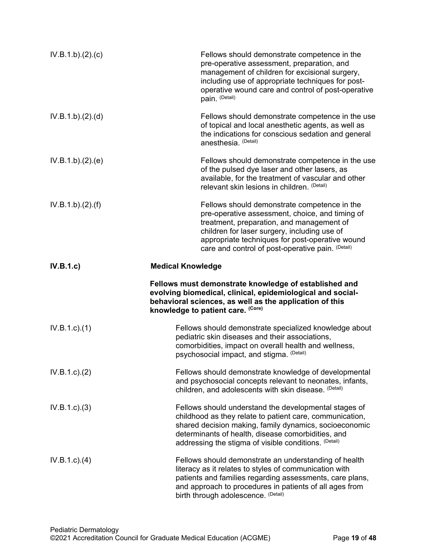| IV.B.1.b)(2)(c)  | Fellows should demonstrate competence in the<br>pre-operative assessment, preparation, and<br>management of children for excisional surgery,<br>including use of appropriate techniques for post-<br>operative wound care and control of post-operative<br>pain. (Detail)                            |
|------------------|------------------------------------------------------------------------------------------------------------------------------------------------------------------------------------------------------------------------------------------------------------------------------------------------------|
| IV.B.1.b)(2).(d) | Fellows should demonstrate competence in the use<br>of topical and local anesthetic agents, as well as<br>the indications for conscious sedation and general<br>anesthesia. (Detail)                                                                                                                 |
| IV.B.1.b)(2)(e)  | Fellows should demonstrate competence in the use<br>of the pulsed dye laser and other lasers, as<br>available, for the treatment of vascular and other<br>relevant skin lesions in children. (Detail)                                                                                                |
| IV.B.1.b)(2)(f)  | Fellows should demonstrate competence in the<br>pre-operative assessment, choice, and timing of<br>treatment, preparation, and management of<br>children for laser surgery, including use of<br>appropriate techniques for post-operative wound<br>care and control of post-operative pain. (Detail) |
| IV.B.1.c         | <b>Medical Knowledge</b>                                                                                                                                                                                                                                                                             |
|                  | Fellows must demonstrate knowledge of established and<br>evolving biomedical, clinical, epidemiological and social-<br>behavioral sciences, as well as the application of this<br>knowledge to patient care. (Core)                                                                                  |
| $IV.B.1.c.$ (1)  | Fellows should demonstrate specialized knowledge about<br>pediatric skin diseases and their associations,<br>comorbidities, impact on overall health and wellness,<br>psychosocial impact, and stigma. (Detail)                                                                                      |
| IV.B.1.c.2)      | Fellows should demonstrate knowledge of developmental<br>and psychosocial concepts relevant to neonates, infants,<br>children, and adolescents with skin disease. (Detail)                                                                                                                           |
| IV.B.1.c.3)      | Fellows should understand the developmental stages of<br>childhood as they relate to patient care, communication,<br>shared decision making, family dynamics, socioeconomic<br>determinants of health, disease comorbidities, and<br>addressing the stigma of visible conditions. (Detail)           |
| IV.B.1.c)(4)     | Fellows should demonstrate an understanding of health<br>literacy as it relates to styles of communication with<br>patients and families regarding assessments, care plans,<br>and approach to procedures in patients of all ages from<br>birth through adolescence. (Detail)                        |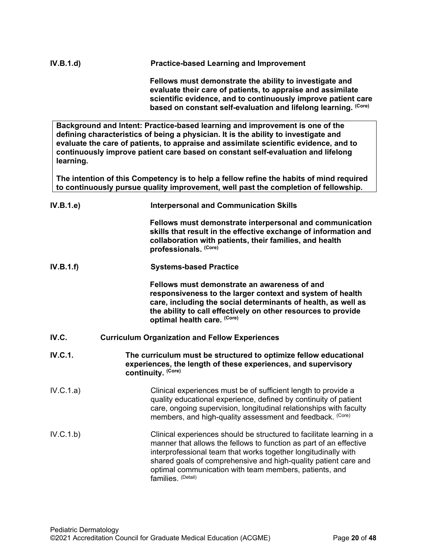| IV.B.1.d) | <b>Practice-based Learning and Improvement</b>                                                                                                                                          |  |
|-----------|-----------------------------------------------------------------------------------------------------------------------------------------------------------------------------------------|--|
|           | Fellows must demonstrate the ability to investigate and<br>evaluate their care of patients, to appraise and assimilate<br>scientific evidence, and to continuously improve patient care |  |

**Background and Intent: Practice-based learning and improvement is one of the defining characteristics of being a physician. It is the ability to investigate and evaluate the care of patients, to appraise and assimilate scientific evidence, and to continuously improve patient care based on constant self-evaluation and lifelong learning.**

**based on constant self-evaluation and lifelong learning. (Core)**

**The intention of this Competency is to help a fellow refine the habits of mind required to continuously pursue quality improvement, well past the completion of fellowship.**

<span id="page-19-0"></span>

| IV.B.1.e       | <b>Interpersonal and Communication Skills</b>                                                                                                                                                                                                                                                                                                                    |
|----------------|------------------------------------------------------------------------------------------------------------------------------------------------------------------------------------------------------------------------------------------------------------------------------------------------------------------------------------------------------------------|
|                | Fellows must demonstrate interpersonal and communication<br>skills that result in the effective exchange of information and<br>collaboration with patients, their families, and health<br>professionals. (Core)                                                                                                                                                  |
| IV.B.1.f)      | <b>Systems-based Practice</b>                                                                                                                                                                                                                                                                                                                                    |
|                | Fellows must demonstrate an awareness of and<br>responsiveness to the larger context and system of health<br>care, including the social determinants of health, as well as<br>the ability to call effectively on other resources to provide<br>optimal health care. (Core)                                                                                       |
| IV.C.          | <b>Curriculum Organization and Fellow Experiences</b>                                                                                                                                                                                                                                                                                                            |
| <b>IV.C.1.</b> | The curriculum must be structured to optimize fellow educational<br>experiences, the length of these experiences, and supervisory<br>continuity. (Core)                                                                                                                                                                                                          |
| IV.C.1.a)      | Clinical experiences must be of sufficient length to provide a<br>quality educational experience, defined by continuity of patient<br>care, ongoing supervision, longitudinal relationships with faculty<br>members, and high-quality assessment and feedback. (Core)                                                                                            |
| IV.C.1.b)      | Clinical experiences should be structured to facilitate learning in a<br>manner that allows the fellows to function as part of an effective<br>interprofessional team that works together longitudinally with<br>shared goals of comprehensive and high-quality patient care and<br>optimal communication with team members, patients, and<br>families. (Detail) |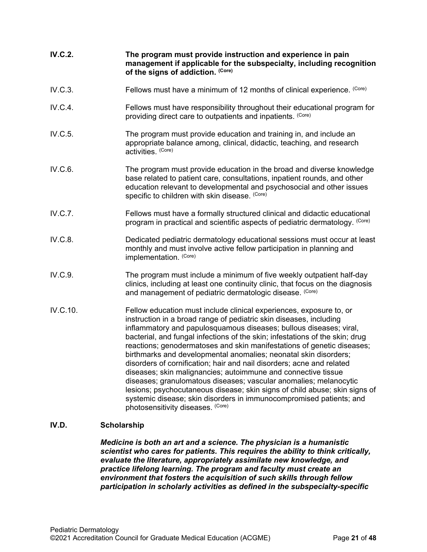| <b>IV.C.2.</b> | The program must provide instruction and experience in pain<br>management if applicable for the subspecialty, including recognition<br>of the signs of addiction. (Core)                                                                                                                                                                                                                                                                                                                                                                                                                                                                                                                                                                                                                                          |
|----------------|-------------------------------------------------------------------------------------------------------------------------------------------------------------------------------------------------------------------------------------------------------------------------------------------------------------------------------------------------------------------------------------------------------------------------------------------------------------------------------------------------------------------------------------------------------------------------------------------------------------------------------------------------------------------------------------------------------------------------------------------------------------------------------------------------------------------|
| IV.C.3.        | Fellows must have a minimum of 12 months of clinical experience. (Core)                                                                                                                                                                                                                                                                                                                                                                                                                                                                                                                                                                                                                                                                                                                                           |
| IV.C.4.        | Fellows must have responsibility throughout their educational program for<br>providing direct care to outpatients and inpatients. (Core)                                                                                                                                                                                                                                                                                                                                                                                                                                                                                                                                                                                                                                                                          |
| IV.C.5.        | The program must provide education and training in, and include an<br>appropriate balance among, clinical, didactic, teaching, and research<br>activities. (Core)                                                                                                                                                                                                                                                                                                                                                                                                                                                                                                                                                                                                                                                 |
| IV.C.6.        | The program must provide education in the broad and diverse knowledge<br>base related to patient care, consultations, inpatient rounds, and other<br>education relevant to developmental and psychosocial and other issues<br>specific to children with skin disease. (Core)                                                                                                                                                                                                                                                                                                                                                                                                                                                                                                                                      |
| IV.C.7.        | Fellows must have a formally structured clinical and didactic educational<br>program in practical and scientific aspects of pediatric dermatology. (Core)                                                                                                                                                                                                                                                                                                                                                                                                                                                                                                                                                                                                                                                         |
| IV.C.8.        | Dedicated pediatric dermatology educational sessions must occur at least<br>monthly and must involve active fellow participation in planning and<br>implementation. (Core)                                                                                                                                                                                                                                                                                                                                                                                                                                                                                                                                                                                                                                        |
| IV.C.9.        | The program must include a minimum of five weekly outpatient half-day<br>clinics, including at least one continuity clinic, that focus on the diagnosis<br>and management of pediatric dermatologic disease. (Core)                                                                                                                                                                                                                                                                                                                                                                                                                                                                                                                                                                                               |
| IV.C.10.       | Fellow education must include clinical experiences, exposure to, or<br>instruction in a broad range of pediatric skin diseases, including<br>inflammatory and papulosquamous diseases; bullous diseases; viral,<br>bacterial, and fungal infections of the skin; infestations of the skin; drug<br>reactions; genodermatoses and skin manifestations of genetic diseases;<br>birthmarks and developmental anomalies; neonatal skin disorders;<br>disorders of cornification; hair and nail disorders; acne and related<br>diseases; skin malignancies; autoimmune and connective tissue<br>diseases; granulomatous diseases; vascular anomalies; melanocytic<br>lesions; psychocutaneous disease; skin signs of child abuse; skin signs of<br>systemic disease; skin disorders in immunocompromised patients; and |

# <span id="page-20-0"></span>**IV.D. Scholarship**

*Medicine is both an art and a science. The physician is a humanistic scientist who cares for patients. This requires the ability to think critically, evaluate the literature, appropriately assimilate new knowledge, and practice lifelong learning. The program and faculty must create an environment that fosters the acquisition of such skills through fellow participation in scholarly activities as defined in the subspecialty-specific* 

photosensitivity diseases. (Core)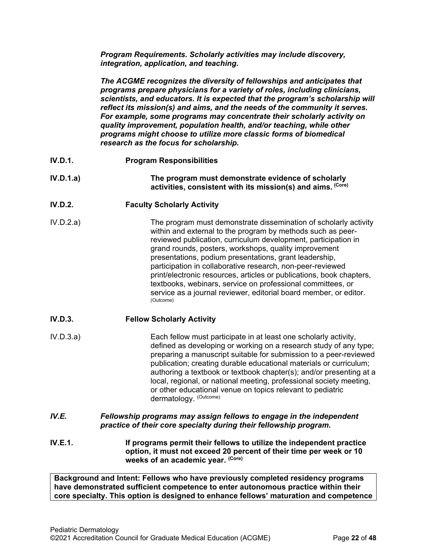*Program Requirements. Scholarly activities may include discovery, integration, application, and teaching.*

*The ACGME recognizes the diversity of fellowships and anticipates that programs prepare physicians for a variety of roles, including clinicians, scientists, and educators. It is expected that the program's scholarship will reflect its mission(s) and aims, and the needs of the community it serves. For example, some programs may concentrate their scholarly activity on quality improvement, population health, and/or teaching, while other programs might choose to utilize more classic forms of biomedical research as the focus for scholarship.*

- **IV.D.1. Program Responsibilities**
- **IV.D.1.a) The program must demonstrate evidence of scholarly activities, consistent with its mission(s) and aims. (Core)**
- **IV.D.2. Faculty Scholarly Activity**
- IV.D.2.a) The program must demonstrate dissemination of scholarly activity within and external to the program by methods such as peerreviewed publication, curriculum development, participation in grand rounds, posters, workshops, quality improvement presentations, podium presentations, grant leadership, participation in collaborative research, non-peer-reviewed print/electronic resources, articles or publications, book chapters, textbooks, webinars, service on professional committees, or service as a journal reviewer, editorial board member, or editor. (Outcome)

# **IV.D.3. Fellow Scholarly Activity**

- IV.D.3.a) Each fellow must participate in at least one scholarly activity, defined as developing or working on a research study of any type; preparing a manuscript suitable for submission to a peer-reviewed publication; creating durable educational materials or curriculum; authoring a textbook or textbook chapter(s); and/or presenting at a local, regional, or national meeting, professional society meeting, or other educational venue on topics relevant to pediatric dermatology. (Outcome)
- <span id="page-21-0"></span>*IV.E. Fellowship programs may assign fellows to engage in the independent practice of their core specialty during their fellowship program.*
- **IV.E.1. If programs permit their fellows to utilize the independent practice option, it must not exceed 20 percent of their time per week or 10 weeks of an academic year. (Core)**

**Background and Intent: Fellows who have previously completed residency programs have demonstrated sufficient competence to enter autonomous practice within their core specialty. This option is designed to enhance fellows' maturation and competence**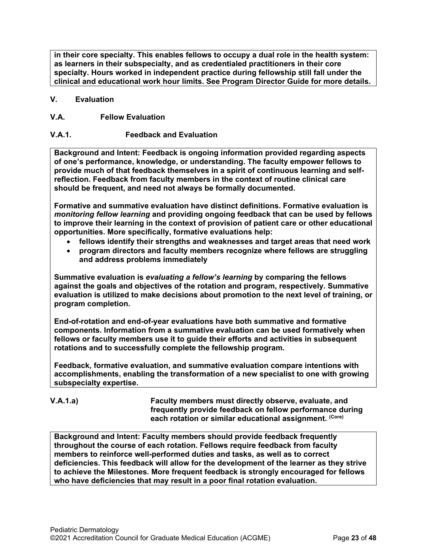**in their core specialty. This enables fellows to occupy a dual role in the health system: as learners in their subspecialty, and as credentialed practitioners in their core specialty. Hours worked in independent practice during fellowship still fall under the clinical and educational work hour limits. See Program Director Guide for more details.**

# <span id="page-22-0"></span>**V. Evaluation**

# <span id="page-22-1"></span>**V.A. Fellow Evaluation**

# **V.A.1. Feedback and Evaluation**

**Background and Intent: Feedback is ongoing information provided regarding aspects of one's performance, knowledge, or understanding. The faculty empower fellows to provide much of that feedback themselves in a spirit of continuous learning and selfreflection. Feedback from faculty members in the context of routine clinical care should be frequent, and need not always be formally documented.**

**Formative and summative evaluation have distinct definitions. Formative evaluation is**  *monitoring fellow learning* **and providing ongoing feedback that can be used by fellows to improve their learning in the context of provision of patient care or other educational opportunities. More specifically, formative evaluations help:**

- **fellows identify their strengths and weaknesses and target areas that need work**
- **program directors and faculty members recognize where fellows are struggling and address problems immediately**

**Summative evaluation is** *evaluating a fellow's learning* **by comparing the fellows against the goals and objectives of the rotation and program, respectively. Summative evaluation is utilized to make decisions about promotion to the next level of training, or program completion.**

**End-of-rotation and end-of-year evaluations have both summative and formative components. Information from a summative evaluation can be used formatively when fellows or faculty members use it to guide their efforts and activities in subsequent rotations and to successfully complete the fellowship program.**

**Feedback, formative evaluation, and summative evaluation compare intentions with accomplishments, enabling the transformation of a new specialist to one with growing subspecialty expertise.** 

**V.A.1.a) Faculty members must directly observe, evaluate, and frequently provide feedback on fellow performance during each rotation or similar educational assignment. (Core)**

**Background and Intent: Faculty members should provide feedback frequently throughout the course of each rotation. Fellows require feedback from faculty members to reinforce well-performed duties and tasks, as well as to correct deficiencies. This feedback will allow for the development of the learner as they strive to achieve the Milestones. More frequent feedback is strongly encouraged for fellows who have deficiencies that may result in a poor final rotation evaluation.**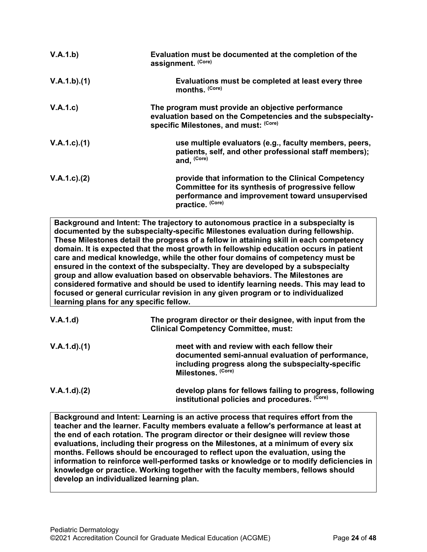| V.A.1.b)          | Evaluation must be documented at the completion of the<br>assignment. (Core)                                                                                                    |
|-------------------|---------------------------------------------------------------------------------------------------------------------------------------------------------------------------------|
| V.A.1.b)(1)       | Evaluations must be completed at least every three<br>months. (Core)                                                                                                            |
| V.A.1.c)          | The program must provide an objective performance<br>evaluation based on the Competencies and the subspecialty-<br>specific Milestones, and must: (Core)                        |
| $V.A.1.c$ . $(1)$ | use multiple evaluators (e.g., faculty members, peers,<br>patients, self, and other professional staff members);<br>and, (Core)                                                 |
| $V.A.1.c$ . $(2)$ | provide that information to the Clinical Competency<br>Committee for its synthesis of progressive fellow<br>performance and improvement toward unsupervised<br>practice. (Core) |

**Background and Intent: The trajectory to autonomous practice in a subspecialty is documented by the subspecialty-specific Milestones evaluation during fellowship. These Milestones detail the progress of a fellow in attaining skill in each competency domain. It is expected that the most growth in fellowship education occurs in patient care and medical knowledge, while the other four domains of competency must be ensured in the context of the subspecialty. They are developed by a subspecialty group and allow evaluation based on observable behaviors. The Milestones are considered formative and should be used to identify learning needs. This may lead to focused or general curricular revision in any given program or to individualized learning plans for any specific fellow.**

| V.A.1.d)          | The program director or their designee, with input from the<br><b>Clinical Competency Committee, must:</b>                                                                   |
|-------------------|------------------------------------------------------------------------------------------------------------------------------------------------------------------------------|
| $V.A.1.d$ . $(1)$ | meet with and review with each fellow their<br>documented semi-annual evaluation of performance,<br>including progress along the subspecialty-specific<br>Milestones. (Core) |
| V.A.1.d)(2)       | develop plans for fellows failing to progress, following<br>institutional policies and procedures. (Core)                                                                    |

**Background and Intent: Learning is an active process that requires effort from the teacher and the learner. Faculty members evaluate a fellow's performance at least at the end of each rotation. The program director or their designee will review those evaluations, including their progress on the Milestones, at a minimum of every six months. Fellows should be encouraged to reflect upon the evaluation, using the information to reinforce well-performed tasks or knowledge or to modify deficiencies in knowledge or practice. Working together with the faculty members, fellows should develop an individualized learning plan.**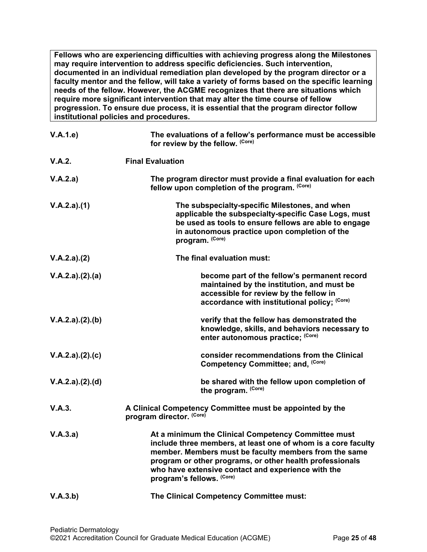**Fellows who are experiencing difficulties with achieving progress along the Milestones may require intervention to address specific deficiencies. Such intervention, documented in an individual remediation plan developed by the program director or a faculty mentor and the fellow, will take a variety of forms based on the specific learning needs of the fellow. However, the ACGME recognizes that there are situations which require more significant intervention that may alter the time course of fellow progression. To ensure due process, it is essential that the program director follow institutional policies and procedures.**

| V.A.1.e         | The evaluations of a fellow's performance must be accessible<br>for review by the fellow. (Core)                                                                                                                                                                                                                             |
|-----------------|------------------------------------------------------------------------------------------------------------------------------------------------------------------------------------------------------------------------------------------------------------------------------------------------------------------------------|
| V.A.2.          | <b>Final Evaluation</b>                                                                                                                                                                                                                                                                                                      |
| V.A.2.a)        | The program director must provide a final evaluation for each<br>fellow upon completion of the program. (Core)                                                                                                                                                                                                               |
| V.A.2.a)(1)     | The subspecialty-specific Milestones, and when<br>applicable the subspecialty-specific Case Logs, must<br>be used as tools to ensure fellows are able to engage<br>in autonomous practice upon completion of the<br>program. (Core)                                                                                          |
| V.A.2.a)(2)     | The final evaluation must:                                                                                                                                                                                                                                                                                                   |
| V.A.2.a)(2).(a) | become part of the fellow's permanent record<br>maintained by the institution, and must be<br>accessible for review by the fellow in<br>accordance with institutional policy; (Core)                                                                                                                                         |
| V.A.2.a)(2).(b) | verify that the fellow has demonstrated the<br>knowledge, skills, and behaviors necessary to<br>enter autonomous practice; (Core)                                                                                                                                                                                            |
| V.A.2.a)(2).(c) | consider recommendations from the Clinical<br>Competency Committee; and, (Core)                                                                                                                                                                                                                                              |
| V.A.2.a)(2).(d) | be shared with the fellow upon completion of<br>the program. (Core)                                                                                                                                                                                                                                                          |
| V.A.3.          | A Clinical Competency Committee must be appointed by the<br>program director. (Core)                                                                                                                                                                                                                                         |
| V.A.3.a)        | At a minimum the Clinical Competency Committee must<br>include three members, at least one of whom is a core facultv<br>member. Members must be faculty members from the same<br>program or other programs, or other health professionals<br>who have extensive contact and experience with the<br>program's fellows. (Core) |
| V.A.3.b)        | The Clinical Competency Committee must:                                                                                                                                                                                                                                                                                      |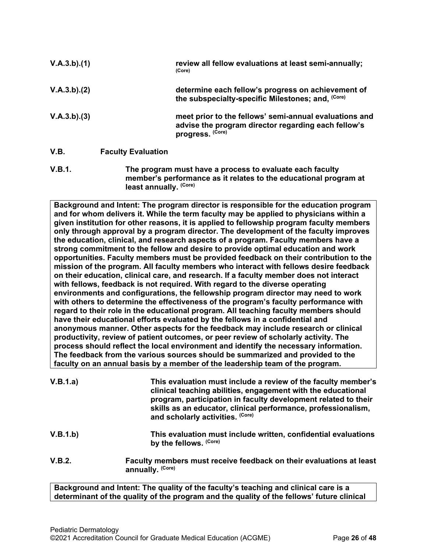| V.A.3.b)(1) |                           | review all fellow evaluations at least semi-annually;<br>(Core)                                                                   |
|-------------|---------------------------|-----------------------------------------------------------------------------------------------------------------------------------|
| V.A.3.b)(2) |                           | determine each fellow's progress on achievement of<br>the subspecialty-specific Milestones; and. (Core)                           |
| V.A.3.b)(3) |                           | meet prior to the fellows' semi-annual evaluations and<br>advise the program director regarding each fellow's<br>progress. (Core) |
| V.B.        | <b>Faculty Evaluation</b> |                                                                                                                                   |

<span id="page-25-0"></span>**V.B.1. The program must have a process to evaluate each faculty member's performance as it relates to the educational program at least annually. (Core)**

**Background and Intent: The program director is responsible for the education program and for whom delivers it. While the term faculty may be applied to physicians within a given institution for other reasons, it is applied to fellowship program faculty members only through approval by a program director. The development of the faculty improves the education, clinical, and research aspects of a program. Faculty members have a strong commitment to the fellow and desire to provide optimal education and work opportunities. Faculty members must be provided feedback on their contribution to the mission of the program. All faculty members who interact with fellows desire feedback on their education, clinical care, and research. If a faculty member does not interact with fellows, feedback is not required. With regard to the diverse operating environments and configurations, the fellowship program director may need to work with others to determine the effectiveness of the program's faculty performance with regard to their role in the educational program. All teaching faculty members should have their educational efforts evaluated by the fellows in a confidential and anonymous manner. Other aspects for the feedback may include research or clinical productivity, review of patient outcomes, or peer review of scholarly activity. The process should reflect the local environment and identify the necessary information. The feedback from the various sources should be summarized and provided to the faculty on an annual basis by a member of the leadership team of the program.**

| V.B.1.a) | This evaluation must include a review of the faculty member's<br>clinical teaching abilities, engagement with the educational<br>program, participation in faculty development related to their<br>skills as an educator, clinical performance, professionalism,<br>and scholarly activities. (Core) |
|----------|------------------------------------------------------------------------------------------------------------------------------------------------------------------------------------------------------------------------------------------------------------------------------------------------------|
| V.B.1.b) | This evaluation must include written, confidential evaluations<br>by the fellows. (Core)                                                                                                                                                                                                             |
| V.B.2.   | Faculty members must receive feedback on their evaluations at least<br>annually. (Core)                                                                                                                                                                                                              |

**Background and Intent: The quality of the faculty's teaching and clinical care is a determinant of the quality of the program and the quality of the fellows' future clinical**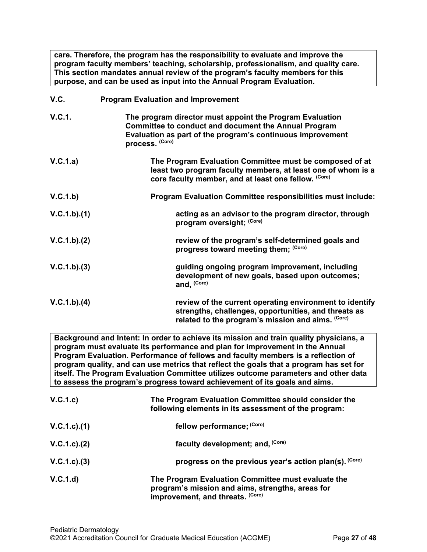**care. Therefore, the program has the responsibility to evaluate and improve the program faculty members' teaching, scholarship, professionalism, and quality care. This section mandates annual review of the program's faculty members for this purpose, and can be used as input into the Annual Program Evaluation.**

<span id="page-26-0"></span>**V.C. Program Evaluation and Improvement**

|               | <u>I TOGIANI EVAIDANON AND MINIOVENIENT</u>                                                                                                                                                              |
|---------------|----------------------------------------------------------------------------------------------------------------------------------------------------------------------------------------------------------|
| <b>V.C.1.</b> | The program director must appoint the Program Evaluation<br><b>Committee to conduct and document the Annual Program</b><br>Evaluation as part of the program's continuous improvement<br>process. (Core) |
| V.C.1.a)      | The Program Evaluation Committee must be composed of at<br>least two program faculty members, at least one of whom is a<br>core faculty member, and at least one fellow. (Core)                          |
| V.C.1.b)      | <b>Program Evaluation Committee responsibilities must include:</b>                                                                                                                                       |
| V.C.1.b)(1)   | acting as an advisor to the program director, through<br>program oversight; (Core)                                                                                                                       |
| V.C.1.b)(2)   | review of the program's self-determined goals and<br>progress toward meeting them; (Core)                                                                                                                |
| V.C.1.b)(3)   | guiding ongoing program improvement, including<br>development of new goals, based upon outcomes;<br>and, (Core)                                                                                          |
| V.C.1.b)(4)   | review of the current operating environment to identify<br>strengths, challenges, opportunities, and threats as<br>related to the program's mission and aims. (Core)                                     |

**Background and Intent: In order to achieve its mission and train quality physicians, a program must evaluate its performance and plan for improvement in the Annual Program Evaluation. Performance of fellows and faculty members is a reflection of program quality, and can use metrics that reflect the goals that a program has set for itself. The Program Evaluation Committee utilizes outcome parameters and other data to assess the program's progress toward achievement of its goals and aims.**

| V.C.1.c)          | The Program Evaluation Committee should consider the<br>following elements in its assessment of the program:                               |
|-------------------|--------------------------------------------------------------------------------------------------------------------------------------------|
| $V.C.1.c$ ).(1)   | fellow performance; (Core)                                                                                                                 |
| $V.C.1.c$ . $(2)$ | faculty development; and, (Core)                                                                                                           |
| V.C.1.c.3)        | progress on the previous year's action plan(s). (Core)                                                                                     |
| V.C.1.d           | The Program Evaluation Committee must evaluate the<br>program's mission and aims, strengths, areas for<br>improvement, and threats. (Core) |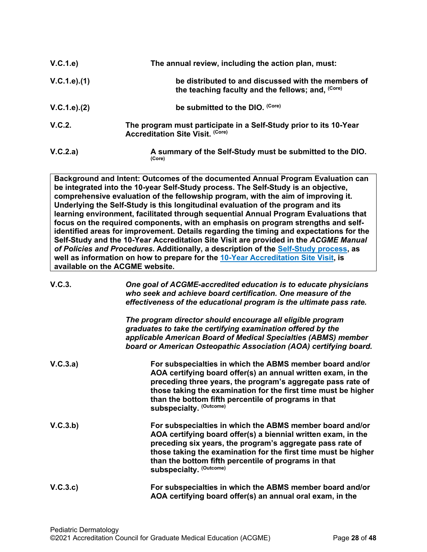| V.C.1.e)      | The annual review, including the action plan, must:                                                          |
|---------------|--------------------------------------------------------------------------------------------------------------|
| V.C.1.e).(1)  | be distributed to and discussed with the members of<br>the teaching faculty and the fellows; and, (Core)     |
| V.C.1.e). (2) | be submitted to the DIO. (Core)                                                                              |
| V.C.2.        | The program must participate in a Self-Study prior to its 10-Year<br><b>Accreditation Site Visit. (Core)</b> |
| V.C.2.a)      | A summary of the Self-Study must be submitted to the DIO.<br>(Core)                                          |

**Background and Intent: Outcomes of the documented Annual Program Evaluation can be integrated into the 10-year Self-Study process. The Self-Study is an objective, comprehensive evaluation of the fellowship program, with the aim of improving it. Underlying the Self-Study is this longitudinal evaluation of the program and its learning environment, facilitated through sequential Annual Program Evaluations that focus on the required components, with an emphasis on program strengths and selfidentified areas for improvement. Details regarding the timing and expectations for the Self-Study and the 10-Year Accreditation Site Visit are provided in the** *ACGME Manual of Policies and Procedures***. Additionally, a description of the [Self-Study process,](http://acgme.org/What-We-Do/Accreditation/Self-Study) as well as information on how to prepare for the [10-Year Accreditation Site Visit,](http://www.acgme.org/What-We-Do/Accreditation/Site-Visit/Eight-Steps-to-Prepare-for-the-10-Year-Accreditation-Site-Visit) is available on the ACGME website.**

| V.C.3.   | One goal of ACGME-accredited education is to educate physicians<br>who seek and achieve board certification. One measure of the<br>effectiveness of the educational program is the ultimate pass rate.                                                                                                                                       |
|----------|----------------------------------------------------------------------------------------------------------------------------------------------------------------------------------------------------------------------------------------------------------------------------------------------------------------------------------------------|
|          | The program director should encourage all eligible program<br>graduates to take the certifying examination offered by the<br>applicable American Board of Medical Specialties (ABMS) member<br>board or American Osteopathic Association (AOA) certifying board.                                                                             |
| V.C.3.a) | For subspecialties in which the ABMS member board and/or<br>AOA certifying board offer(s) an annual written exam, in the<br>preceding three years, the program's aggregate pass rate of<br>those taking the examination for the first time must be higher<br>than the bottom fifth percentile of programs in that<br>subspecialty. (Outcome) |
| V.C.3.b) | For subspecialties in which the ABMS member board and/or<br>AOA certifying board offer(s) a biennial written exam, in the<br>preceding six years, the program's aggregate pass rate of<br>those taking the examination for the first time must be higher<br>than the bottom fifth percentile of programs in that<br>subspecialty. (Outcome)  |
| V.C.3.c  | For subspecialties in which the ABMS member board and/or<br>AOA certifying board offer(s) an annual oral exam, in the                                                                                                                                                                                                                        |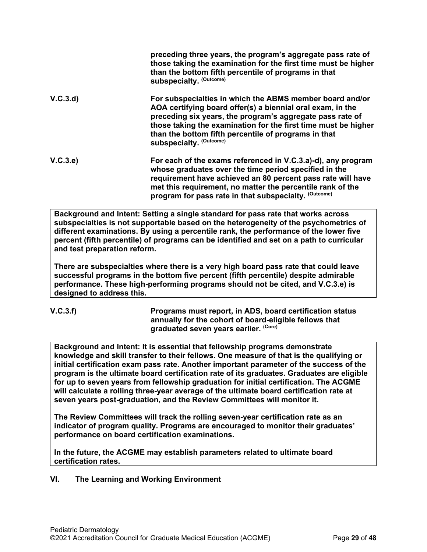|          | preceding three years, the program's aggregate pass rate of<br>those taking the examination for the first time must be higher<br>than the bottom fifth percentile of programs in that<br>subspecialty. (Outcome)                                                                                                                         |
|----------|------------------------------------------------------------------------------------------------------------------------------------------------------------------------------------------------------------------------------------------------------------------------------------------------------------------------------------------|
| V.C.3.d  | For subspecialties in which the ABMS member board and/or<br>AOA certifying board offer(s) a biennial oral exam, in the<br>preceding six years, the program's aggregate pass rate of<br>those taking the examination for the first time must be higher<br>than the bottom fifth percentile of programs in that<br>subspecialty. (Outcome) |
| V.C.3.e) | For each of the exams referenced in V.C.3.a)-d), any program<br>whose graduates over the time period specified in the<br>requirement have achieved an 80 percent pass rate will have<br>met this requirement, no matter the percentile rank of the<br>program for pass rate in that subspecialty. (Outcome)                              |

**Background and Intent: Setting a single standard for pass rate that works across subspecialties is not supportable based on the heterogeneity of the psychometrics of different examinations. By using a percentile rank, the performance of the lower five percent (fifth percentile) of programs can be identified and set on a path to curricular and test preparation reform.**

**There are subspecialties where there is a very high board pass rate that could leave successful programs in the bottom five percent (fifth percentile) despite admirable performance. These high-performing programs should not be cited, and V.C.3.e) is designed to address this.**

$$
V.C.3.f)
$$

**V.C.3.f) Programs must report, in ADS, board certification status annually for the cohort of board-eligible fellows that graduated seven years earlier. (Core)**

**Background and Intent: It is essential that fellowship programs demonstrate knowledge and skill transfer to their fellows. One measure of that is the qualifying or initial certification exam pass rate. Another important parameter of the success of the program is the ultimate board certification rate of its graduates. Graduates are eligible for up to seven years from fellowship graduation for initial certification. The ACGME will calculate a rolling three-year average of the ultimate board certification rate at seven years post-graduation, and the Review Committees will monitor it.**

**The Review Committees will track the rolling seven-year certification rate as an indicator of program quality. Programs are encouraged to monitor their graduates' performance on board certification examinations.**

**In the future, the ACGME may establish parameters related to ultimate board certification rates.**

<span id="page-28-0"></span>**VI. The Learning and Working Environment**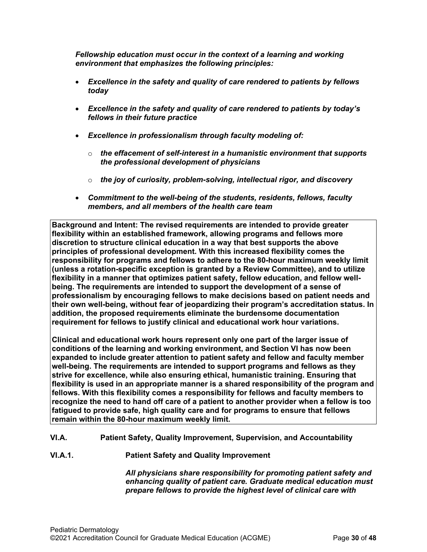*Fellowship education must occur in the context of a learning and working environment that emphasizes the following principles:*

- *Excellence in the safety and quality of care rendered to patients by fellows today*
- *Excellence in the safety and quality of care rendered to patients by today's fellows in their future practice*
- *Excellence in professionalism through faculty modeling of:*
	- o *the effacement of self-interest in a humanistic environment that supports the professional development of physicians*
	- o *the joy of curiosity, problem-solving, intellectual rigor, and discovery*
- *Commitment to the well-being of the students, residents, fellows, faculty members, and all members of the health care team*

**Background and Intent: The revised requirements are intended to provide greater flexibility within an established framework, allowing programs and fellows more discretion to structure clinical education in a way that best supports the above principles of professional development. With this increased flexibility comes the responsibility for programs and fellows to adhere to the 80-hour maximum weekly limit (unless a rotation-specific exception is granted by a Review Committee), and to utilize flexibility in a manner that optimizes patient safety, fellow education, and fellow wellbeing. The requirements are intended to support the development of a sense of professionalism by encouraging fellows to make decisions based on patient needs and their own well-being, without fear of jeopardizing their program's accreditation status. In addition, the proposed requirements eliminate the burdensome documentation requirement for fellows to justify clinical and educational work hour variations.**

**Clinical and educational work hours represent only one part of the larger issue of conditions of the learning and working environment, and Section VI has now been expanded to include greater attention to patient safety and fellow and faculty member well-being. The requirements are intended to support programs and fellows as they strive for excellence, while also ensuring ethical, humanistic training. Ensuring that flexibility is used in an appropriate manner is a shared responsibility of the program and fellows. With this flexibility comes a responsibility for fellows and faculty members to recognize the need to hand off care of a patient to another provider when a fellow is too fatigued to provide safe, high quality care and for programs to ensure that fellows remain within the 80-hour maximum weekly limit.**

- <span id="page-29-0"></span>**VI.A. Patient Safety, Quality Improvement, Supervision, and Accountability**
- **VI.A.1. Patient Safety and Quality Improvement**

*All physicians share responsibility for promoting patient safety and enhancing quality of patient care. Graduate medical education must prepare fellows to provide the highest level of clinical care with*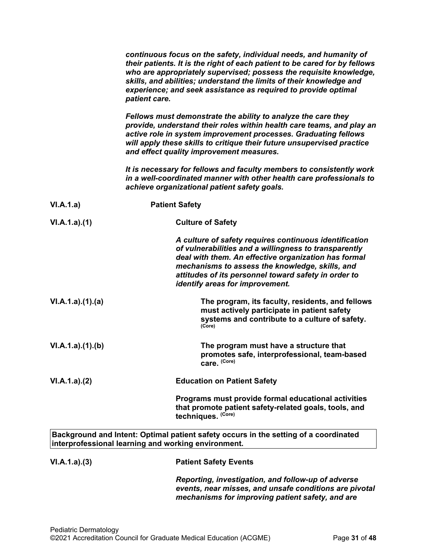|                 | continuous focus on the safety, individual needs, and humanity of<br>their patients. It is the right of each patient to be cared for by fellows<br>who are appropriately supervised; possess the requisite knowledge,<br>skills, and abilities; understand the limits of their knowledge and<br>experience; and seek assistance as required to provide optimal<br>patient care. |
|-----------------|---------------------------------------------------------------------------------------------------------------------------------------------------------------------------------------------------------------------------------------------------------------------------------------------------------------------------------------------------------------------------------|
|                 | Fellows must demonstrate the ability to analyze the care they<br>provide, understand their roles within health care teams, and play an<br>active role in system improvement processes. Graduating fellows<br>will apply these skills to critique their future unsupervised practice<br>and effect quality improvement measures.                                                 |
|                 | It is necessary for fellows and faculty members to consistently work<br>in a well-coordinated manner with other health care professionals to<br>achieve organizational patient safety goals.                                                                                                                                                                                    |
| VI.A.1.a)       | <b>Patient Safety</b>                                                                                                                                                                                                                                                                                                                                                           |
| VI.A.1.a)(1)    | <b>Culture of Safety</b>                                                                                                                                                                                                                                                                                                                                                        |
|                 | A culture of safety requires continuous identification<br>of vulnerabilities and a willingness to transparently<br>deal with them. An effective organization has formal<br>mechanisms to assess the knowledge, skills, and<br>attitudes of its personnel toward safety in order to<br>identify areas for improvement.                                                           |
| VI.A.1.a)(1)(a) | The program, its faculty, residents, and fellows<br>must actively participate in patient safety<br>systems and contribute to a culture of safety.<br>(Core)                                                                                                                                                                                                                     |
| VI.A.1.a)(1)(b) | The program must have a structure that<br>promotes safe, interprofessional, team-based<br>care. (Core)                                                                                                                                                                                                                                                                          |
| VI.A.1.a)(2)    | <b>Education on Patient Safety</b>                                                                                                                                                                                                                                                                                                                                              |
|                 | Programs must provide formal educational activities<br>that promote patient safety-related goals, tools, and<br>techniques. (Core)                                                                                                                                                                                                                                              |
|                 | Background and Intent: Optimal patient safety occurs in the setting of a coordinated<br>interprofessional learning and working environment.                                                                                                                                                                                                                                     |
| VI.A.1.a)(3)    | <b>Patient Safety Events</b>                                                                                                                                                                                                                                                                                                                                                    |
|                 | Reporting, investigation, and follow-up of adverse<br>events, near misses, and unsafe conditions are pivotal                                                                                                                                                                                                                                                                    |

*mechanisms for improving patient safety, and are*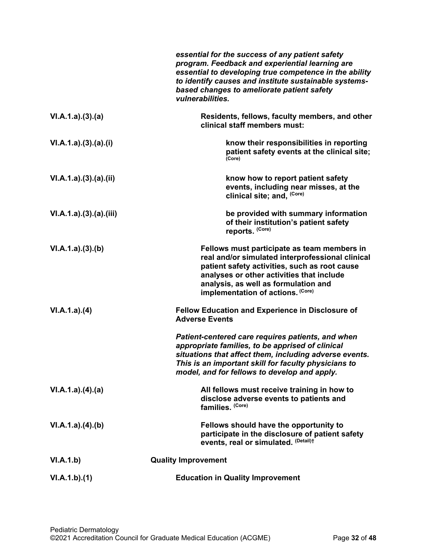|                      | essential for the success of any patient safety<br>program. Feedback and experiential learning are<br>essential to developing true competence in the ability<br>to identify causes and institute sustainable systems-<br>based changes to ameliorate patient safety<br>vulnerabilities.                                                                     |
|----------------------|-------------------------------------------------------------------------------------------------------------------------------------------------------------------------------------------------------------------------------------------------------------------------------------------------------------------------------------------------------------|
| VI.A.1.a)(3)(a)      | Residents, fellows, faculty members, and other<br>clinical staff members must:                                                                                                                                                                                                                                                                              |
| VI.A.1.a)(3)(a)(i)   | know their responsibilities in reporting<br>patient safety events at the clinical site;<br>(Core)                                                                                                                                                                                                                                                           |
| VI.A.1.a)(3).(a)(ii) | know how to report patient safety<br>events, including near misses, at the<br>clinical site; and, (Core)                                                                                                                                                                                                                                                    |
| VI.A.1.a)(3)(a)(iii) | be provided with summary information<br>of their institution's patient safety<br>reports. (Core)                                                                                                                                                                                                                                                            |
| VI.A.1.a)(3)(b)      | Fellows must participate as team members in<br>real and/or simulated interprofessional clinical<br>patient safety activities, such as root cause<br>analyses or other activities that include<br>analysis, as well as formulation and<br>implementation of actions. (Core)                                                                                  |
| VI.A.1.a)(4)         | <b>Fellow Education and Experience in Disclosure of</b><br><b>Adverse Events</b><br>Patient-centered care requires patients, and when<br>appropriate families, to be apprised of clinical<br>situations that affect them, including adverse events.<br>This is an important skill for faculty physicians to<br>model, and for fellows to develop and apply. |
| VI.A.1.a)(4).(a)     | All fellows must receive training in how to<br>disclose adverse events to patients and<br>families. (Core)                                                                                                                                                                                                                                                  |
| VI.A.1.a)(4)(b)      | Fellows should have the opportunity to<br>participate in the disclosure of patient safety<br>events, real or simulated. (Detail)t                                                                                                                                                                                                                           |
| VI.A.1.b)            | <b>Quality Improvement</b>                                                                                                                                                                                                                                                                                                                                  |
| VI.A.1.b)(1)         | <b>Education in Quality Improvement</b>                                                                                                                                                                                                                                                                                                                     |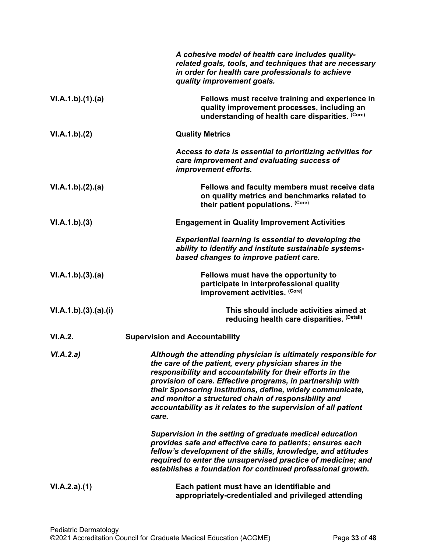|                    | A cohesive model of health care includes quality-<br>related goals, tools, and techniques that are necessary<br>in order for health care professionals to achieve<br>quality improvement goals.                                                                                                                                                                                                                                                       |
|--------------------|-------------------------------------------------------------------------------------------------------------------------------------------------------------------------------------------------------------------------------------------------------------------------------------------------------------------------------------------------------------------------------------------------------------------------------------------------------|
| VI.A.1.b)(1)(a)    | Fellows must receive training and experience in<br>quality improvement processes, including an<br>understanding of health care disparities. (Core)                                                                                                                                                                                                                                                                                                    |
| VI.A.1.b)(2)       | <b>Quality Metrics</b>                                                                                                                                                                                                                                                                                                                                                                                                                                |
|                    | Access to data is essential to prioritizing activities for<br>care improvement and evaluating success of<br>improvement efforts.                                                                                                                                                                                                                                                                                                                      |
| VI.A.1.b)(2).(a)   | Fellows and faculty members must receive data<br>on quality metrics and benchmarks related to<br>their patient populations. (Core)                                                                                                                                                                                                                                                                                                                    |
| VI.A.1.b)(3)       | <b>Engagement in Quality Improvement Activities</b>                                                                                                                                                                                                                                                                                                                                                                                                   |
|                    | <b>Experiential learning is essential to developing the</b><br>ability to identify and institute sustainable systems-<br>based changes to improve patient care.                                                                                                                                                                                                                                                                                       |
| VI.A.1.b)(3)(a)    | Fellows must have the opportunity to<br>participate in interprofessional quality<br>improvement activities. (Core)                                                                                                                                                                                                                                                                                                                                    |
| VI.A.1.b)(3)(a)(i) | This should include activities aimed at<br>reducing health care disparities. (Detail)                                                                                                                                                                                                                                                                                                                                                                 |
| VI.A.2.            | <b>Supervision and Accountability</b>                                                                                                                                                                                                                                                                                                                                                                                                                 |
| VI.A.2.a)          | Although the attending physician is ultimately responsible for<br>the care of the patient, every physician shares in the<br>responsibility and accountability for their efforts in the<br>provision of care. Effective programs, in partnership with<br>their Sponsoring Institutions, define, widely communicate,<br>and monitor a structured chain of responsibility and<br>accountability as it relates to the supervision of all patient<br>care. |
|                    | Supervision in the setting of graduate medical education<br>provides safe and effective care to patients; ensures each<br>fellow's development of the skills, knowledge, and attitudes<br>required to enter the unsupervised practice of medicine; and<br>establishes a foundation for continued professional growth.                                                                                                                                 |
| VI.A.2.a)(1)       | Each patient must have an identifiable and<br>appropriately-credentialed and privileged attending                                                                                                                                                                                                                                                                                                                                                     |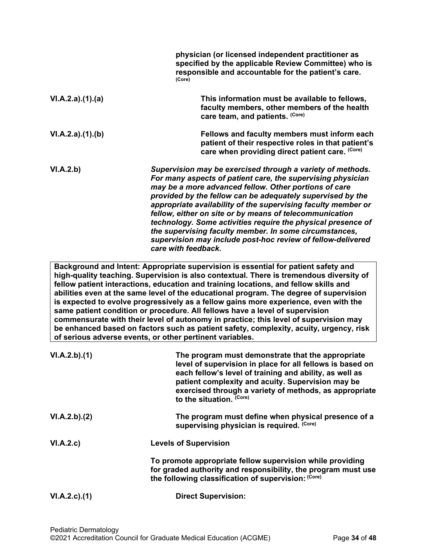|                    | physician (or licensed independent practitioner as<br>specified by the applicable Review Committee) who is<br>responsible and accountable for the patient's care.<br>(Core)                                                                                                                                                                                                                                                                                                                                                                                                                                                                                                                                                                                                           |
|--------------------|---------------------------------------------------------------------------------------------------------------------------------------------------------------------------------------------------------------------------------------------------------------------------------------------------------------------------------------------------------------------------------------------------------------------------------------------------------------------------------------------------------------------------------------------------------------------------------------------------------------------------------------------------------------------------------------------------------------------------------------------------------------------------------------|
| VI.A.2.a)(1).(a)   | This information must be available to fellows,<br>faculty members, other members of the health<br>care team, and patients. (Core)                                                                                                                                                                                                                                                                                                                                                                                                                                                                                                                                                                                                                                                     |
| VI.A.2.a)(1)(b)    | Fellows and faculty members must inform each<br>patient of their respective roles in that patient's<br>care when providing direct patient care. (Core)                                                                                                                                                                                                                                                                                                                                                                                                                                                                                                                                                                                                                                |
| VI.A.2.b)          | Supervision may be exercised through a variety of methods.<br>For many aspects of patient care, the supervising physician<br>may be a more advanced fellow. Other portions of care<br>provided by the fellow can be adequately supervised by the<br>appropriate availability of the supervising faculty member or<br>fellow, either on site or by means of telecommunication<br>technology. Some activities require the physical presence of<br>the supervising faculty member. In some circumstances,<br>supervision may include post-hoc review of fellow-delivered<br>care with feedback.                                                                                                                                                                                          |
|                    | Background and Intent: Appropriate supervision is essential for patient safety and<br>high-quality teaching. Supervision is also contextual. There is tremendous diversity of<br>fellow patient interactions, education and training locations, and fellow skills and<br>abilities even at the same level of the educational program. The degree of supervision<br>is expected to evolve progressively as a fellow gains more experience, even with the<br>same patient condition or procedure. All fellows have a level of supervision<br>commensurate with their level of autonomy in practice; this level of supervision may<br>be enhanced based on factors such as patient safety, complexity, acuity, urgency, risk<br>of serious adverse events, or other pertinent variables. |
| VI.A.2.b)(1)       | The program must demonstrate that the appropriate<br>level of supervision in place for all fellows is based on<br>each fellow's level of training and ability, as well as<br>patient complexity and acuity. Supervision may be<br>exercised through a variety of methods, as appropriate<br>to the situation. (Core)                                                                                                                                                                                                                                                                                                                                                                                                                                                                  |
| VI.A.2.b)(2)       | The program must define when physical presence of a<br>supervising physician is required. (Core)                                                                                                                                                                                                                                                                                                                                                                                                                                                                                                                                                                                                                                                                                      |
| VI.A.2.c)          | <b>Levels of Supervision</b>                                                                                                                                                                                                                                                                                                                                                                                                                                                                                                                                                                                                                                                                                                                                                          |
|                    | To promote appropriate fellow supervision while providing<br>for graded authority and responsibility, the program must use<br>the following classification of supervision: (Core)                                                                                                                                                                                                                                                                                                                                                                                                                                                                                                                                                                                                     |
| $VI.A.2.c$ . $(1)$ | <b>Direct Supervision:</b>                                                                                                                                                                                                                                                                                                                                                                                                                                                                                                                                                                                                                                                                                                                                                            |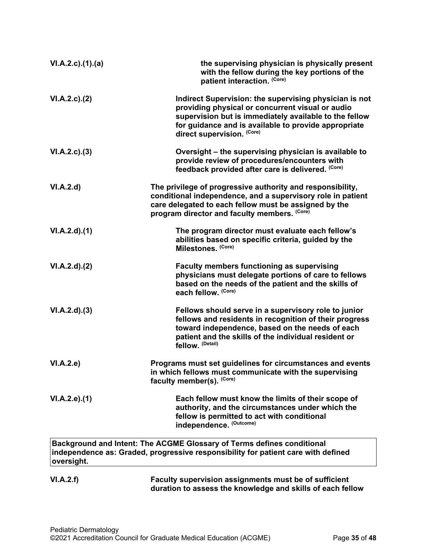| VI.A.2.c)(1).(a)   | the supervising physician is physically present<br>with the fellow during the key portions of the<br>patient interaction. (Core)                                                                                                                           |
|--------------------|------------------------------------------------------------------------------------------------------------------------------------------------------------------------------------------------------------------------------------------------------------|
| $VI.A.2.c$ . $(2)$ | Indirect Supervision: the supervising physician is not<br>providing physical or concurrent visual or audio<br>supervision but is immediately available to the fellow<br>for guidance and is available to provide appropriate<br>direct supervision. (Core) |
| VI.A.2.c.3)        | Oversight – the supervising physician is available to<br>provide review of procedures/encounters with<br>feedback provided after care is delivered. (Core)                                                                                                 |
| VI.A.2.d           | The privilege of progressive authority and responsibility,<br>conditional independence, and a supervisory role in patient<br>care delegated to each fellow must be assigned by the<br>program director and faculty members. (Core)                         |
| VI.A.2.d)(1)       | The program director must evaluate each fellow's<br>abilities based on specific criteria, guided by the<br>Milestones. (Core)                                                                                                                              |
| VI.A.2.d).(2)      | <b>Faculty members functioning as supervising</b><br>physicians must delegate portions of care to fellows<br>based on the needs of the patient and the skills of<br>each fellow. (Core)                                                                    |
| VI.A.2.d)(3)       | Fellows should serve in a supervisory role to junior<br>fellows and residents in recognition of their progress<br>toward independence, based on the needs of each<br>patient and the skills of the individual resident or<br>fellow. (Detail)              |
| VI.A.2.e)          | Programs must set guidelines for circumstances and events<br>in which fellows must communicate with the supervising<br>faculty member(s). (Core)                                                                                                           |
| VI.A.2.e.(1)       | Each fellow must know the limits of their scope of<br>authority, and the circumstances under which the<br>fellow is permitted to act with conditional<br>independence. (Outcome)                                                                           |
| oversight.         | Background and Intent: The ACGME Glossary of Terms defines conditional<br>independence as: Graded, progressive responsibility for patient care with defined                                                                                                |
| VI.A.2.f)          | Faculty supervision assignments must be of sufficient                                                                                                                                                                                                      |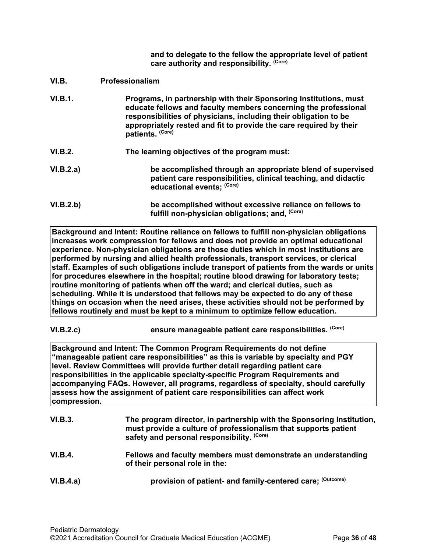**and to delegate to the fellow the appropriate level of patient care authority and responsibility. (Core)**

- <span id="page-35-0"></span>**VI.B. Professionalism**
- **VI.B.1. Programs, in partnership with their Sponsoring Institutions, must educate fellows and faculty members concerning the professional responsibilities of physicians, including their obligation to be appropriately rested and fit to provide the care required by their patients. (Core)**
- **VI.B.2. The learning objectives of the program must:**
- **VI.B.2.a) be accomplished through an appropriate blend of supervised patient care responsibilities, clinical teaching, and didactic educational events; (Core)**
- **VI.B.2.b) be accomplished without excessive reliance on fellows to** fulfill non-physician obligations; and, <sup>(Core)</sup>

**Background and Intent: Routine reliance on fellows to fulfill non-physician obligations increases work compression for fellows and does not provide an optimal educational experience. Non-physician obligations are those duties which in most institutions are performed by nursing and allied health professionals, transport services, or clerical staff. Examples of such obligations include transport of patients from the wards or units for procedures elsewhere in the hospital; routine blood drawing for laboratory tests; routine monitoring of patients when off the ward; and clerical duties, such as scheduling. While it is understood that fellows may be expected to do any of these things on occasion when the need arises, these activities should not be performed by fellows routinely and must be kept to a minimum to optimize fellow education.**

**VI.B.2.c) ensure manageable patient care responsibilities. (Core)**

**Background and Intent: The Common Program Requirements do not define "manageable patient care responsibilities" as this is variable by specialty and PGY level. Review Committees will provide further detail regarding patient care responsibilities in the applicable specialty-specific Program Requirements and accompanying FAQs. However, all programs, regardless of specialty, should carefully assess how the assignment of patient care responsibilities can affect work compression.**

| VI.B.3.   | The program director, in partnership with the Sponsoring Institution,<br>must provide a culture of professionalism that supports patient<br>safety and personal responsibility. (Core) |
|-----------|----------------------------------------------------------------------------------------------------------------------------------------------------------------------------------------|
| VI.B.4.   | Fellows and faculty members must demonstrate an understanding<br>of their personal role in the:                                                                                        |
| VI.B.4.a) | provision of patient- and family-centered care; (Outcome)                                                                                                                              |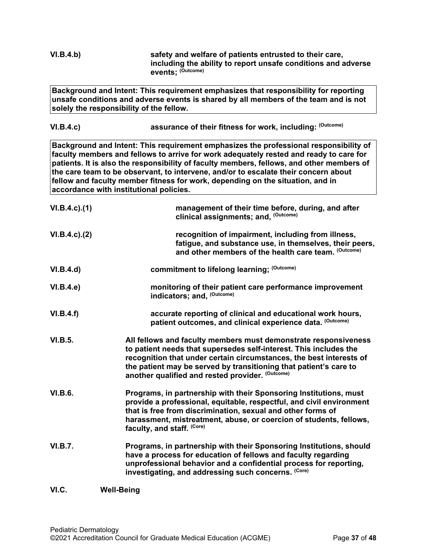<span id="page-36-0"></span>

| VI.B.4.b)           | safety and welfare of patients entrusted to their care,<br>including the ability to report unsafe conditions and adverse<br>events: (Outcome)                                                                                                                                                                                                                                                                                                                                                    |
|---------------------|--------------------------------------------------------------------------------------------------------------------------------------------------------------------------------------------------------------------------------------------------------------------------------------------------------------------------------------------------------------------------------------------------------------------------------------------------------------------------------------------------|
|                     | Background and Intent: This requirement emphasizes that responsibility for reporting<br>unsafe conditions and adverse events is shared by all members of the team and is not<br>solely the responsibility of the fellow.                                                                                                                                                                                                                                                                         |
| VI.B.4.c)           | assurance of their fitness for work, including: (Outcome)                                                                                                                                                                                                                                                                                                                                                                                                                                        |
|                     | Background and Intent: This requirement emphasizes the professional responsibility of<br>faculty members and fellows to arrive for work adequately rested and ready to care for<br>patients. It is also the responsibility of faculty members, fellows, and other members of<br>the care team to be observant, to intervene, and/or to escalate their concern about<br>fellow and faculty member fitness for work, depending on the situation, and in<br>accordance with institutional policies. |
| $VI.B.4.c$ ). $(1)$ | management of their time before, during, and after<br>clinical assignments; and, (Outcome)                                                                                                                                                                                                                                                                                                                                                                                                       |
| $VI.B.4.c$ ). $(2)$ | recognition of impairment, including from illness,<br>fatigue, and substance use, in themselves, their peers,<br>and other members of the health care team. (Outcome)                                                                                                                                                                                                                                                                                                                            |
| VI.B.4.d)           | commitment to lifelong learning; (Outcome)                                                                                                                                                                                                                                                                                                                                                                                                                                                       |
| VI.B.4.e            | monitoring of their patient care performance improvement<br>indicators; and, (Outcome)                                                                                                                                                                                                                                                                                                                                                                                                           |
| VI.B.4.f)           | accurate reporting of clinical and educational work hours,<br>patient outcomes, and clinical experience data. (Outcome)                                                                                                                                                                                                                                                                                                                                                                          |
| <b>VI.B.5.</b>      | All fellows and faculty members must demonstrate responsiveness<br>to patient needs that supersedes self-interest. This includes the<br>recognition that under certain circumstances, the best interests of<br>the patient may be served by transitioning that patient's care to<br>another qualified and rested provider. (Outcome)                                                                                                                                                             |
| <b>VI.B.6.</b>      | Programs, in partnership with their Sponsoring Institutions, must<br>provide a professional, equitable, respectful, and civil environment<br>that is free from discrimination, sexual and other forms of<br>harassment, mistreatment, abuse, or coercion of students, fellows,<br>faculty, and staff. (Core)                                                                                                                                                                                     |
| <b>VI.B.7.</b>      | Programs, in partnership with their Sponsoring Institutions, should<br>have a process for education of fellows and faculty regarding<br>unprofessional behavior and a confidential process for reporting,<br>investigating, and addressing such concerns. (Core)                                                                                                                                                                                                                                 |
| VI.C.               | <b>Well-Being</b>                                                                                                                                                                                                                                                                                                                                                                                                                                                                                |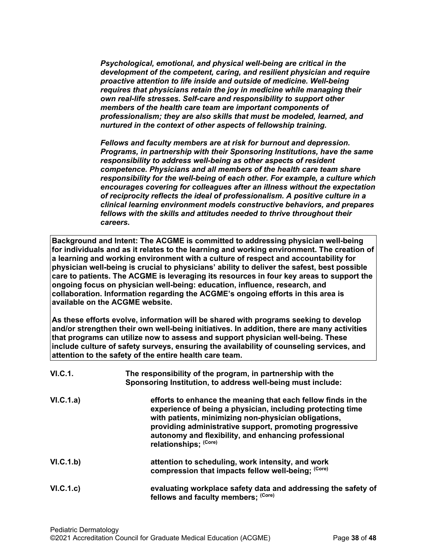*Psychological, emotional, and physical well-being are critical in the development of the competent, caring, and resilient physician and require proactive attention to life inside and outside of medicine. Well-being requires that physicians retain the joy in medicine while managing their own real-life stresses. Self-care and responsibility to support other members of the health care team are important components of professionalism; they are also skills that must be modeled, learned, and nurtured in the context of other aspects of fellowship training.*

*Fellows and faculty members are at risk for burnout and depression. Programs, in partnership with their Sponsoring Institutions, have the same responsibility to address well-being as other aspects of resident competence. Physicians and all members of the health care team share responsibility for the well-being of each other. For example, a culture which encourages covering for colleagues after an illness without the expectation of reciprocity reflects the ideal of professionalism. A positive culture in a clinical learning environment models constructive behaviors, and prepares fellows with the skills and attitudes needed to thrive throughout their careers.*

**Background and Intent: The ACGME is committed to addressing physician well-being for individuals and as it relates to the learning and working environment. The creation of a learning and working environment with a culture of respect and accountability for physician well-being is crucial to physicians' ability to deliver the safest, best possible care to patients. The ACGME is leveraging its resources in four key areas to support the ongoing focus on physician well-being: education, influence, research, and collaboration. Information regarding the ACGME's ongoing efforts in this area is available on the ACGME website.**

**As these efforts evolve, information will be shared with programs seeking to develop and/or strengthen their own well-being initiatives. In addition, there are many activities that programs can utilize now to assess and support physician well-being. These include culture of safety surveys, ensuring the availability of counseling services, and attention to the safety of the entire health care team.**

| VI.C.1.   | The responsibility of the program, in partnership with the<br>Sponsoring Institution, to address well-being must include:                                                                                                                                                                                                      |
|-----------|--------------------------------------------------------------------------------------------------------------------------------------------------------------------------------------------------------------------------------------------------------------------------------------------------------------------------------|
| VI.C.1.a) | efforts to enhance the meaning that each fellow finds in the<br>experience of being a physician, including protecting time<br>with patients, minimizing non-physician obligations,<br>providing administrative support, promoting progressive<br>autonomy and flexibility, and enhancing professional<br>relationships: (Core) |
| VI.C.1.b) | attention to scheduling, work intensity, and work<br>compression that impacts fellow well-being; (Core)                                                                                                                                                                                                                        |
| VI.C.1.c) | evaluating workplace safety data and addressing the safety of<br>fellows and faculty members; (Core)                                                                                                                                                                                                                           |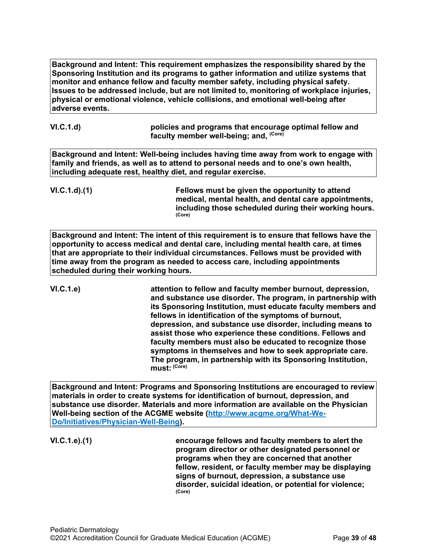**Background and Intent: This requirement emphasizes the responsibility shared by the Sponsoring Institution and its programs to gather information and utilize systems that monitor and enhance fellow and faculty member safety, including physical safety. Issues to be addressed include, but are not limited to, monitoring of workplace injuries, physical or emotional violence, vehicle collisions, and emotional well-being after adverse events.**

| VI.C.1.d) | policies and programs that encourage optimal fellow and |
|-----------|---------------------------------------------------------|
|           | faculty member well-being; and, <sup>(Core)</sup>       |

**Background and Intent: Well-being includes having time away from work to engage with family and friends, as well as to attend to personal needs and to one's own health, including adequate rest, healthy diet, and regular exercise.**

**VI.C.1.d).(1) Fellows must be given the opportunity to attend medical, mental health, and dental care appointments, including those scheduled during their working hours. (Core)**

**Background and Intent: The intent of this requirement is to ensure that fellows have the opportunity to access medical and dental care, including mental health care, at times that are appropriate to their individual circumstances. Fellows must be provided with time away from the program as needed to access care, including appointments scheduled during their working hours.**

**VI.C.1.e) attention to fellow and faculty member burnout, depression, and substance use disorder. The program, in partnership with its Sponsoring Institution, must educate faculty members and fellows in identification of the symptoms of burnout, depression, and substance use disorder, including means to assist those who experience these conditions. Fellows and faculty members must also be educated to recognize those symptoms in themselves and how to seek appropriate care. The program, in partnership with its Sponsoring Institution, must: (Core)**

**Background and Intent: Programs and Sponsoring Institutions are encouraged to review materials in order to create systems for identification of burnout, depression, and substance use disorder. Materials and more information are available on the Physician Well-being section of the ACGME website [\(http://www.acgme.org/What-We-](http://www.acgme.org/What-We-Do/Initiatives/Physician-Well-Being)[Do/Initiatives/Physician-Well-Being\)](http://www.acgme.org/What-We-Do/Initiatives/Physician-Well-Being).**

**VI.C.1.e).(1) encourage fellows and faculty members to alert the program director or other designated personnel or programs when they are concerned that another fellow, resident, or faculty member may be displaying signs of burnout, depression, a substance use disorder, suicidal ideation, or potential for violence; (Core)**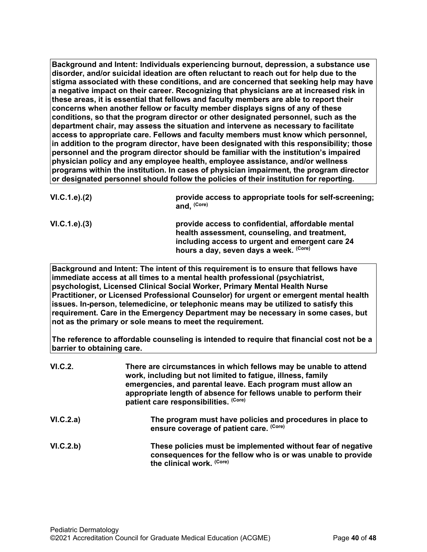**Background and Intent: Individuals experiencing burnout, depression, a substance use disorder, and/or suicidal ideation are often reluctant to reach out for help due to the stigma associated with these conditions, and are concerned that seeking help may have a negative impact on their career. Recognizing that physicians are at increased risk in these areas, it is essential that fellows and faculty members are able to report their concerns when another fellow or faculty member displays signs of any of these conditions, so that the program director or other designated personnel, such as the department chair, may assess the situation and intervene as necessary to facilitate access to appropriate care. Fellows and faculty members must know which personnel, in addition to the program director, have been designated with this responsibility; those personnel and the program director should be familiar with the institution's impaired physician policy and any employee health, employee assistance, and/or wellness programs within the institution. In cases of physician impairment, the program director or designated personnel should follow the policies of their institution for reporting.**

| VI.C.1.e). (2) | provide access to appropriate tools for self-screening;<br>and. (Core)                             |
|----------------|----------------------------------------------------------------------------------------------------|
| VI.C.1.e). (3) | provide access to confidential, affordable mental<br>health assessment, counseling, and treatment, |
|                | including access to urgent and emergent care 24                                                    |

**hours a day, seven days a week. (Core)**

**Background and Intent: The intent of this requirement is to ensure that fellows have immediate access at all times to a mental health professional (psychiatrist, psychologist, Licensed Clinical Social Worker, Primary Mental Health Nurse Practitioner, or Licensed Professional Counselor) for urgent or emergent mental health issues. In-person, telemedicine, or telephonic means may be utilized to satisfy this requirement. Care in the Emergency Department may be necessary in some cases, but not as the primary or sole means to meet the requirement.**

**The reference to affordable counseling is intended to require that financial cost not be a barrier to obtaining care.**

| VI.C.2.   | There are circumstances in which fellows may be unable to attend<br>work, including but not limited to fatigue, illness, family<br>emergencies, and parental leave. Each program must allow an<br>appropriate length of absence for fellows unable to perform their<br>patient care responsibilities. (Core) |
|-----------|--------------------------------------------------------------------------------------------------------------------------------------------------------------------------------------------------------------------------------------------------------------------------------------------------------------|
| VI.C.2.a) | The program must have policies and procedures in place to<br>ensure coverage of patient care. (Core)                                                                                                                                                                                                         |
| VI.C.2.b) | These policies must be implemented without fear of negative<br>consequences for the fellow who is or was unable to provide<br>the clinical work. (Core)                                                                                                                                                      |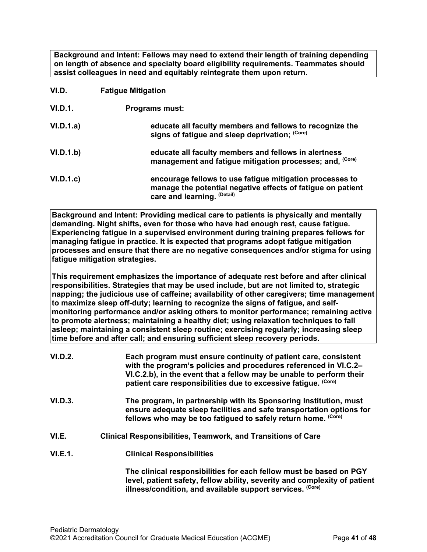**Background and Intent: Fellows may need to extend their length of training depending on length of absence and specialty board eligibility requirements. Teammates should assist colleagues in need and equitably reintegrate them upon return.**

- <span id="page-40-0"></span>**VI.D. Fatigue Mitigation**
- **VI.D.1. Programs must:**
- **VI.D.1.a) educate all faculty members and fellows to recognize the signs of fatigue and sleep deprivation; (Core) VI.D.1.b) educate all faculty members and fellows in alertness management and fatigue mitigation processes; and, (Core) VI.D.1.c) encourage fellows to use fatigue mitigation processes to manage the potential negative effects of fatigue on patient**

**care and learning. (Detail)**

**Background and Intent: Providing medical care to patients is physically and mentally demanding. Night shifts, even for those who have had enough rest, cause fatigue. Experiencing fatigue in a supervised environment during training prepares fellows for managing fatigue in practice. It is expected that programs adopt fatigue mitigation processes and ensure that there are no negative consequences and/or stigma for using fatigue mitigation strategies.**

**This requirement emphasizes the importance of adequate rest before and after clinical responsibilities. Strategies that may be used include, but are not limited to, strategic napping; the judicious use of caffeine; availability of other caregivers; time management to maximize sleep off-duty; learning to recognize the signs of fatigue, and selfmonitoring performance and/or asking others to monitor performance; remaining active to promote alertness; maintaining a healthy diet; using relaxation techniques to fall asleep; maintaining a consistent sleep routine; exercising regularly; increasing sleep time before and after call; and ensuring sufficient sleep recovery periods.**

- **VI.D.2. Each program must ensure continuity of patient care, consistent with the program's policies and procedures referenced in VI.C.2– VI.C.2.b), in the event that a fellow may be unable to perform their patient care responsibilities due to excessive fatigue. (Core)**
- **VI.D.3. The program, in partnership with its Sponsoring Institution, must ensure adequate sleep facilities and safe transportation options for fellows who may be too fatigued to safely return home. (Core)**
- <span id="page-40-1"></span>**VI.E. Clinical Responsibilities, Teamwork, and Transitions of Care**
- **VI.E.1. Clinical Responsibilities**

**The clinical responsibilities for each fellow must be based on PGY level, patient safety, fellow ability, severity and complexity of patient illness/condition, and available support services. (Core)**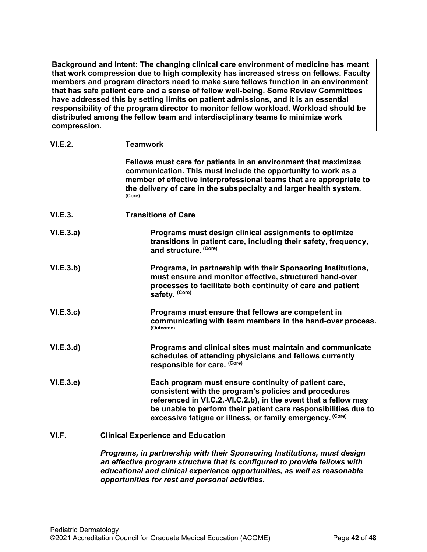**Background and Intent: The changing clinical care environment of medicine has meant that work compression due to high complexity has increased stress on fellows. Faculty members and program directors need to make sure fellows function in an environment that has safe patient care and a sense of fellow well-being. Some Review Committees have addressed this by setting limits on patient admissions, and it is an essential responsibility of the program director to monitor fellow workload. Workload should be distributed among the fellow team and interdisciplinary teams to minimize work compression.**

| VI.E.2.   | <b>Teamwork</b>                                                                                                                                                                                                                                                                                                  |
|-----------|------------------------------------------------------------------------------------------------------------------------------------------------------------------------------------------------------------------------------------------------------------------------------------------------------------------|
|           | Fellows must care for patients in an environment that maximizes<br>communication. This must include the opportunity to work as a<br>member of effective interprofessional teams that are appropriate to<br>the delivery of care in the subspecialty and larger health system.<br>(Core)                          |
| VI.E.3.   | <b>Transitions of Care</b>                                                                                                                                                                                                                                                                                       |
| VI.E.3.a) | Programs must design clinical assignments to optimize<br>transitions in patient care, including their safety, frequency,<br>and structure. (Core)                                                                                                                                                                |
| VI.E.3.b) | Programs, in partnership with their Sponsoring Institutions,<br>must ensure and monitor effective, structured hand-over<br>processes to facilitate both continuity of care and patient<br>safety. (Core)                                                                                                         |
| VI.E.3.c  | Programs must ensure that fellows are competent in<br>communicating with team members in the hand-over process.<br>(Outcome)                                                                                                                                                                                     |
| VI.E.3.d  | Programs and clinical sites must maintain and communicate<br>schedules of attending physicians and fellows currently<br>responsible for care. (Core)                                                                                                                                                             |
| VI.E.3.e  | Each program must ensure continuity of patient care,<br>consistent with the program's policies and procedures<br>referenced in VI.C.2.-VI.C.2.b), in the event that a fellow may<br>be unable to perform their patient care responsibilities due to<br>excessive fatigue or illness, or family emergency. (Core) |
| VI.F.     | <b>Clinical Experience and Education</b>                                                                                                                                                                                                                                                                         |

<span id="page-41-0"></span>*Programs, in partnership with their Sponsoring Institutions, must design an effective program structure that is configured to provide fellows with educational and clinical experience opportunities, as well as reasonable opportunities for rest and personal activities.*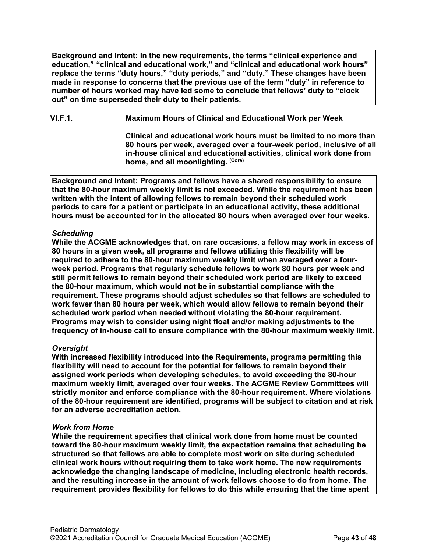**Background and Intent: In the new requirements, the terms "clinical experience and education," "clinical and educational work," and "clinical and educational work hours" replace the terms "duty hours," "duty periods," and "duty." These changes have been made in response to concerns that the previous use of the term "duty" in reference to number of hours worked may have led some to conclude that fellows' duty to "clock out" on time superseded their duty to their patients.**

**VI.F.1. Maximum Hours of Clinical and Educational Work per Week**

**Clinical and educational work hours must be limited to no more than 80 hours per week, averaged over a four-week period, inclusive of all in-house clinical and educational activities, clinical work done from home, and all moonlighting. (Core)**

**Background and Intent: Programs and fellows have a shared responsibility to ensure that the 80-hour maximum weekly limit is not exceeded. While the requirement has been written with the intent of allowing fellows to remain beyond their scheduled work periods to care for a patient or participate in an educational activity, these additional hours must be accounted for in the allocated 80 hours when averaged over four weeks.**

# *Scheduling*

**While the ACGME acknowledges that, on rare occasions, a fellow may work in excess of 80 hours in a given week, all programs and fellows utilizing this flexibility will be required to adhere to the 80-hour maximum weekly limit when averaged over a fourweek period. Programs that regularly schedule fellows to work 80 hours per week and still permit fellows to remain beyond their scheduled work period are likely to exceed the 80-hour maximum, which would not be in substantial compliance with the requirement. These programs should adjust schedules so that fellows are scheduled to work fewer than 80 hours per week, which would allow fellows to remain beyond their scheduled work period when needed without violating the 80-hour requirement. Programs may wish to consider using night float and/or making adjustments to the frequency of in-house call to ensure compliance with the 80-hour maximum weekly limit.**

# *Oversight*

**With increased flexibility introduced into the Requirements, programs permitting this flexibility will need to account for the potential for fellows to remain beyond their assigned work periods when developing schedules, to avoid exceeding the 80-hour maximum weekly limit, averaged over four weeks. The ACGME Review Committees will strictly monitor and enforce compliance with the 80-hour requirement. Where violations of the 80-hour requirement are identified, programs will be subject to citation and at risk for an adverse accreditation action.**

# *Work from Home*

**While the requirement specifies that clinical work done from home must be counted toward the 80-hour maximum weekly limit, the expectation remains that scheduling be structured so that fellows are able to complete most work on site during scheduled clinical work hours without requiring them to take work home. The new requirements acknowledge the changing landscape of medicine, including electronic health records, and the resulting increase in the amount of work fellows choose to do from home. The requirement provides flexibility for fellows to do this while ensuring that the time spent**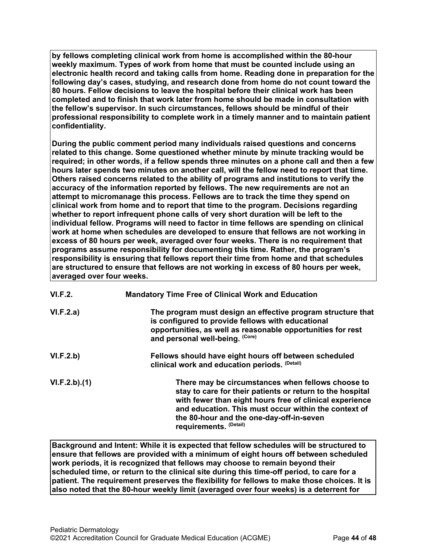**by fellows completing clinical work from home is accomplished within the 80-hour weekly maximum. Types of work from home that must be counted include using an electronic health record and taking calls from home. Reading done in preparation for the following day's cases, studying, and research done from home do not count toward the 80 hours. Fellow decisions to leave the hospital before their clinical work has been completed and to finish that work later from home should be made in consultation with the fellow's supervisor. In such circumstances, fellows should be mindful of their professional responsibility to complete work in a timely manner and to maintain patient confidentiality.**

**During the public comment period many individuals raised questions and concerns related to this change. Some questioned whether minute by minute tracking would be required; in other words, if a fellow spends three minutes on a phone call and then a few hours later spends two minutes on another call, will the fellow need to report that time. Others raised concerns related to the ability of programs and institutions to verify the accuracy of the information reported by fellows. The new requirements are not an attempt to micromanage this process. Fellows are to track the time they spend on clinical work from home and to report that time to the program. Decisions regarding whether to report infrequent phone calls of very short duration will be left to the individual fellow. Programs will need to factor in time fellows are spending on clinical work at home when schedules are developed to ensure that fellows are not working in excess of 80 hours per week, averaged over four weeks. There is no requirement that programs assume responsibility for documenting this time. Rather, the program's responsibility is ensuring that fellows report their time from home and that schedules are structured to ensure that fellows are not working in excess of 80 hours per week, averaged over four weeks.**

| <b>VI.F.2.</b> | <b>Mandatory Time Free of Clinical Work and Education</b>                                                                                                                                                                                                                                               |
|----------------|---------------------------------------------------------------------------------------------------------------------------------------------------------------------------------------------------------------------------------------------------------------------------------------------------------|
| VI.F.2.a)      | The program must design an effective program structure that<br>is configured to provide fellows with educational<br>opportunities, as well as reasonable opportunities for rest<br>and personal well-being. (Core)                                                                                      |
| VI.F.2.b)      | Fellows should have eight hours off between scheduled<br>clinical work and education periods. (Detail)                                                                                                                                                                                                  |
| VI.F.2.b)(1)   | There may be circumstances when fellows choose to<br>stay to care for their patients or return to the hospital<br>with fewer than eight hours free of clinical experience<br>and education. This must occur within the context of<br>the 80-hour and the one-day-off-in-seven<br>requirements. (Detail) |

**Background and Intent: While it is expected that fellow schedules will be structured to ensure that fellows are provided with a minimum of eight hours off between scheduled work periods, it is recognized that fellows may choose to remain beyond their scheduled time, or return to the clinical site during this time-off period, to care for a patient. The requirement preserves the flexibility for fellows to make those choices. It is also noted that the 80-hour weekly limit (averaged over four weeks) is a deterrent for**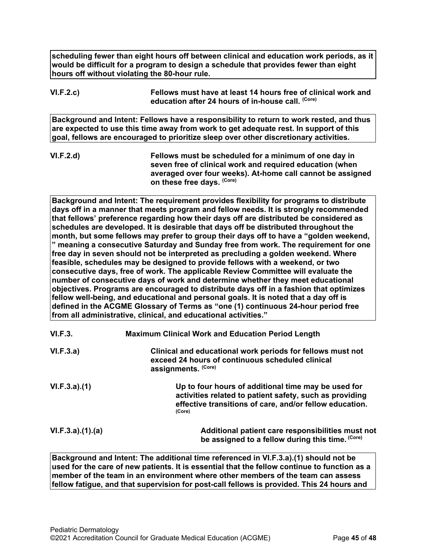**scheduling fewer than eight hours off between clinical and education work periods, as it would be difficult for a program to design a schedule that provides fewer than eight hours off without violating the 80-hour rule.**

# **VI.F.2.c) Fellows must have at least 14 hours free of clinical work and education after 24 hours of in-house call. (Core)**

**Background and Intent: Fellows have a responsibility to return to work rested, and thus are expected to use this time away from work to get adequate rest. In support of this goal, fellows are encouraged to prioritize sleep over other discretionary activities.**

**VI.F.2.d) Fellows must be scheduled for a minimum of one day in seven free of clinical work and required education (when averaged over four weeks). At-home call cannot be assigned on these free days. (Core)**

**Background and Intent: The requirement provides flexibility for programs to distribute days off in a manner that meets program and fellow needs. It is strongly recommended that fellows' preference regarding how their days off are distributed be considered as schedules are developed. It is desirable that days off be distributed throughout the month, but some fellows may prefer to group their days off to have a "golden weekend, " meaning a consecutive Saturday and Sunday free from work. The requirement for one free day in seven should not be interpreted as precluding a golden weekend. Where feasible, schedules may be designed to provide fellows with a weekend, or two consecutive days, free of work. The applicable Review Committee will evaluate the number of consecutive days of work and determine whether they meet educational objectives. Programs are encouraged to distribute days off in a fashion that optimizes fellow well-being, and educational and personal goals. It is noted that a day off is defined in the ACGME Glossary of Terms as "one (1) continuous 24-hour period free from all administrative, clinical, and educational activities."**

| VI.F.3.         | <b>Maximum Clinical Work and Education Period Length</b>                                                                                                                            |
|-----------------|-------------------------------------------------------------------------------------------------------------------------------------------------------------------------------------|
| VI.F.3.a)       | Clinical and educational work periods for fellows must not<br>exceed 24 hours of continuous scheduled clinical<br>assignments. (Core)                                               |
| VI.F.3.a)(1)    | Up to four hours of additional time may be used for<br>activities related to patient safety, such as providing<br>effective transitions of care, and/or fellow education.<br>(Core) |
| VI.F.3.a)(1)(a) | Additional patient care responsibilities must not<br>be assigned to a fellow during this time. (Core)                                                                               |

**Background and Intent: The additional time referenced in VI.F.3.a).(1) should not be used for the care of new patients. It is essential that the fellow continue to function as a member of the team in an environment where other members of the team can assess fellow fatigue, and that supervision for post-call fellows is provided. This 24 hours and**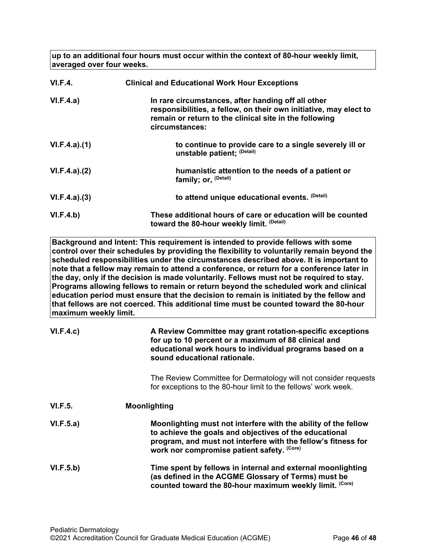**up to an additional four hours must occur within the context of 80-hour weekly limit, averaged over four weeks.**

| VI.F.4.      | <b>Clinical and Educational Work Hour Exceptions</b>                                                                                                                                                |
|--------------|-----------------------------------------------------------------------------------------------------------------------------------------------------------------------------------------------------|
| VI.F.4.a)    | In rare circumstances, after handing off all other<br>responsibilities, a fellow, on their own initiative, may elect to<br>remain or return to the clinical site in the following<br>circumstances: |
| VI.F.4.a)(1) | to continue to provide care to a single severely ill or<br>unstable patient; (Detail)                                                                                                               |
| VI.F.4.a)(2) | humanistic attention to the needs of a patient or<br>family; or, <sup>(Detail)</sup>                                                                                                                |
| VI.F.4.a)(3) | to attend unique educational events. (Detail)                                                                                                                                                       |
| VI.F.4.b)    | These additional hours of care or education will be counted<br>toward the 80-hour weekly limit. (Detail)                                                                                            |

**Background and Intent: This requirement is intended to provide fellows with some control over their schedules by providing the flexibility to voluntarily remain beyond the scheduled responsibilities under the circumstances described above. It is important to note that a fellow may remain to attend a conference, or return for a conference later in the day, only if the decision is made voluntarily. Fellows must not be required to stay. Programs allowing fellows to remain or return beyond the scheduled work and clinical education period must ensure that the decision to remain is initiated by the fellow and that fellows are not coerced. This additional time must be counted toward the 80-hour maximum weekly limit.**

| VI.F.4.c)      | A Review Committee may grant rotation-specific exceptions<br>for up to 10 percent or a maximum of 88 clinical and<br>educational work hours to individual programs based on a<br>sound educational rationale.                           |  |
|----------------|-----------------------------------------------------------------------------------------------------------------------------------------------------------------------------------------------------------------------------------------|--|
|                | The Review Committee for Dermatology will not consider requests<br>for exceptions to the 80-hour limit to the fellows' work week.                                                                                                       |  |
| <b>VI.F.5.</b> | <b>Moonlighting</b>                                                                                                                                                                                                                     |  |
| VI.F.5.a)      | Moonlighting must not interfere with the ability of the fellow<br>to achieve the goals and objectives of the educational<br>program, and must not interfere with the fellow's fitness for<br>work nor compromise patient safety. (Core) |  |
| VI.F.5.b)      | Time spent by fellows in internal and external moonlighting<br>(as defined in the ACGME Glossary of Terms) must be<br>counted toward the 80-hour maximum weekly limit. (Core)                                                           |  |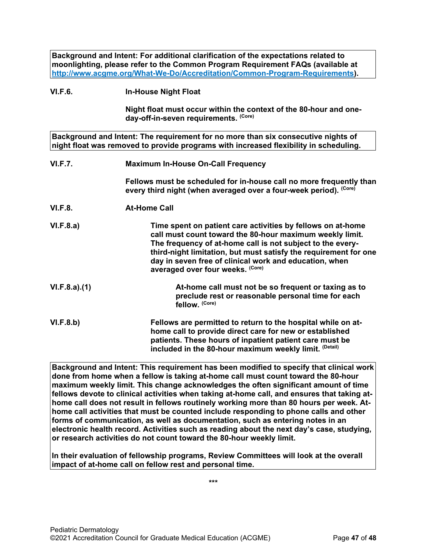**Background and Intent: For additional clarification of the expectations related to moonlighting, please refer to the Common Program Requirement FAQs (available at [http://www.acgme.org/What-We-Do/Accreditation/Common-Program-Requirements\)](http://www.acgme.org/What-We-Do/Accreditation/Common-Program-Requirements).**

#### **VI.F.6. In-House Night Float**

**Night float must occur within the context of the 80-hour and oneday-off-in-seven requirements. (Core)**

**Background and Intent: The requirement for no more than six consecutive nights of night float was removed to provide programs with increased flexibility in scheduling.**

| <b>VI.F.7.</b> | <b>Maximum In-House On-Call Frequency</b>                                                                                                                                                                                                                                                                                                               |  |
|----------------|---------------------------------------------------------------------------------------------------------------------------------------------------------------------------------------------------------------------------------------------------------------------------------------------------------------------------------------------------------|--|
|                | Fellows must be scheduled for in-house call no more frequently than<br>every third night (when averaged over a four-week period). (Core)                                                                                                                                                                                                                |  |
| <b>VI.F.8.</b> | <b>At-Home Call</b>                                                                                                                                                                                                                                                                                                                                     |  |
| VI.F.8.a)      | Time spent on patient care activities by fellows on at-home<br>call must count toward the 80-hour maximum weekly limit.<br>The frequency of at-home call is not subject to the every-<br>third-night limitation, but must satisfy the requirement for one<br>day in seven free of clinical work and education, when<br>averaged over four weeks. (Core) |  |
| VI.F.8.a)(1)   | At-home call must not be so frequent or taxing as to<br>preclude rest or reasonable personal time for each<br>fellow. (Core)                                                                                                                                                                                                                            |  |
| VI.F.8.b)      | Fellows are permitted to return to the hospital while on at-<br>home call to provide direct care for new or established<br>patients. These hours of inpatient patient care must be                                                                                                                                                                      |  |

**Background and Intent: This requirement has been modified to specify that clinical work done from home when a fellow is taking at-home call must count toward the 80-hour maximum weekly limit. This change acknowledges the often significant amount of time fellows devote to clinical activities when taking at-home call, and ensures that taking athome call does not result in fellows routinely working more than 80 hours per week. Athome call activities that must be counted include responding to phone calls and other forms of communication, as well as documentation, such as entering notes in an electronic health record. Activities such as reading about the next day's case, studying, or research activities do not count toward the 80-hour weekly limit.**

**included in the 80-hour maximum weekly limit. (Detail)**

**In their evaluation of fellowship programs, Review Committees will look at the overall impact of at-home call on fellow rest and personal time.**

**\*\*\***